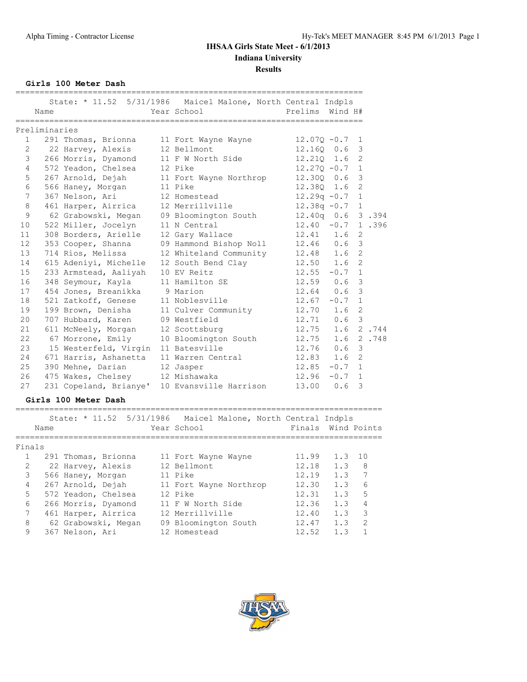**Girls 100 Meter Dash**

|                 | Name          |                                         | State: * 11.52 5/31/1986 Maicel Malone, North Central Indpls<br>Year School | Prelims Wind H#    |                |                          |
|-----------------|---------------|-----------------------------------------|-----------------------------------------------------------------------------|--------------------|----------------|--------------------------|
|                 | Preliminaries |                                         |                                                                             |                    |                |                          |
|                 | $1 \quad$     | 291 Thomas, Brionna 11 Fort Wayne Wayne |                                                                             | $12.070 - 0.7$     | -1             |                          |
| 2               |               | 22 Harvey, Alexis                       | 12 Bellmont                                                                 | 12.160 0.6         | 3              |                          |
| 3               |               |                                         | 266 Morris, Dyamond 11 F W North Side                                       | 12.210 1.6         | $\overline{2}$ |                          |
| $4\overline{ }$ |               | 572 Yeadon, Chelsea 12 Pike             |                                                                             | $12.270 - 0.7$     | 1              |                          |
| 5               |               |                                         | 267 Arnold, Dejah 11 Fort Wayne Northrop                                    | 12.300 0.6         | 3              |                          |
| $\epsilon$      |               | 566 Haney, Morgan                       | 11 Pike                                                                     | 12.380 1.6         | $\overline{2}$ |                          |
| 7               |               | 367 Nelson, Ari                         | 12 Homestead                                                                | $12.29q - 0.7$     | $\mathbf{1}$   |                          |
| 8               |               | 461 Harper, Airrica                     | 12 Merrillville                                                             | $12.38q -0.7$ 1    |                |                          |
| 9               |               |                                         | 62 Grabowski, Megan 09 Bloomington South                                    | 12.40q 0.6 3.394   |                |                          |
| 10              |               | 522 Miller, Jocelyn                     | 11 N Central                                                                | $12.40 -0.7$ 1.396 |                |                          |
| 11              |               | 308 Borders, Arielle                    | 12 Gary Wallace                                                             | $12.41$ $1.6$      | 2              |                          |
| 12              |               | 353 Cooper, Shanna                      | 09 Hammond Bishop Noll                                                      | $12.46$ 0.6        | 3              |                          |
| 13              |               | 714 Rios, Melissa                       | 12 Whiteland Community                                                      | 12.48<br>1.6       | $\overline{2}$ |                          |
| 14              |               |                                         | 615 Adeniyi, Michelle 12 South Bend Clay                                    | $12.50 \t1.6$      | $\overline{2}$ |                          |
| 15              |               | 233 Armstead, Aaliyah 10 EV Reitz       |                                                                             | $12.55 - 0.7$      | $\mathbf{1}$   |                          |
| 16              |               | 348 Seymour, Kayla                      | 11 Hamilton SE                                                              | $12.59$ 0.6        | $\mathbf{3}$   |                          |
| 17              |               | 454 Jones, Breanikka 9 Marion           |                                                                             | $12.64$ 0.6        | $\mathcal{S}$  |                          |
| 18              |               | 521 Zatkoff, Genese                     | 11 Noblesville                                                              | 12.67<br>$-0.7$    | $\mathbf{1}$   |                          |
| 19              |               | 199 Brown, Denisha                      | 11 Culver Community                                                         | 12.70<br>1.6       | 2              |                          |
| 20              |               | 707 Hubbard, Karen 09 Westfield         |                                                                             | $12.71$ 0.6 3      |                |                          |
| 21              |               | 611 McNeely, Morgan                     | 12 Scottsburg                                                               | 12.75              |                | $1.6 \quad 2 \quad .744$ |
| 22              |               |                                         | 67 Morrone, Emily 10 Bloomington South                                      | 12.75              |                | 1.6 2.748                |
| 23              |               | 15 Westerfeld, Virgin 11 Batesville     |                                                                             | 12.76<br>0.6       | $\mathbf{3}$   |                          |
| 24              |               | 671 Harris, Ashanetta 11 Warren Central |                                                                             | 12.83<br>1.6       | $\overline{2}$ |                          |
| 25              |               | 390 Mehne, Darian 12 Jasper             |                                                                             | 12.85<br>$-0.7$    | 1              |                          |
| 26              |               | 475 Wakes, Chelsey 12 Mishawaka         |                                                                             | 12.96<br>$-0.7$    | 1              |                          |
| 27              |               |                                         | 231 Copeland, Brianye' 10 Evansville Harrison                               | 13.00<br>0.6       | 3              |                          |

### **Girls 100 Meter Dash**

|        | Name |                     |  | State: * 11.52 5/31/1986 Maicel Malone, North Central Indpls<br>Year School | Finals Wind Points |     |               |
|--------|------|---------------------|--|-----------------------------------------------------------------------------|--------------------|-----|---------------|
| Finals |      |                     |  |                                                                             |                    |     |               |
|        |      | 291 Thomas, Brionna |  | 11 Fort Wayne Wayne                                                         | 11.99              | 1.3 | 10            |
| 2      |      | 22 Harvey, Alexis   |  | 12 Bellmont                                                                 | 12.18              | 1.3 | 8             |
| 3      |      | 566 Haney, Morgan   |  | 11 Pike                                                                     | 12.19              | 1.3 |               |
| 4      |      | 267 Arnold, Dejah   |  | 11 Fort Wayne Northrop                                                      | 12.30              | 1.3 | 6             |
| 5      |      | 572 Yeadon, Chelsea |  | 12 Pike                                                                     | 12.31              | 1.3 | 5             |
| 6      |      | 266 Morris, Dyamond |  | 11 F W North Side                                                           | 12.36              | 1.3 | 4             |
| 7      |      | 461 Harper, Airrica |  | 12 Merrillville                                                             | 12.40              | 1.3 | 3             |
| 8      |      | 62 Grabowski, Megan |  | 09 Bloomington South                                                        | 12.47              | 1.3 | $\mathcal{D}$ |
| 9      |      | 367 Nelson, Ari     |  | 12 Homestead                                                                | 12.52              | 1.3 |               |
|        |      |                     |  |                                                                             |                    |     |               |

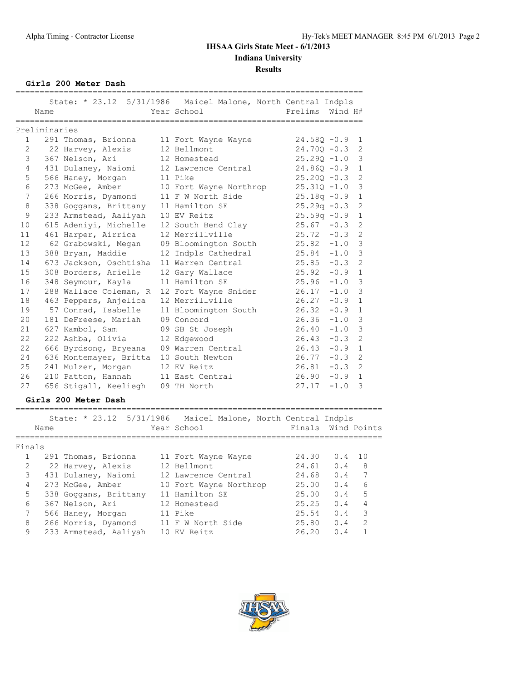**Girls 200 Meter Dash**

|                |               |                        |                                                              | ________________________ |          |                |
|----------------|---------------|------------------------|--------------------------------------------------------------|--------------------------|----------|----------------|
|                |               |                        | State: * 23.12 5/31/1986 Maicel Malone, North Central Indpls |                          |          |                |
|                | Name          |                        | Year School                                                  | Prelims                  | Wind H#  |                |
|                |               |                        |                                                              |                          |          |                |
|                | Preliminaries |                        |                                                              |                          |          |                |
| $\mathbf{1}$   |               | 291 Thomas, Brionna    | 11 Fort Wayne Wayne                                          | $24.580 - 0.9$           |          | 1              |
| $\overline{2}$ |               | 22 Harvey, Alexis      | 12 Bellmont                                                  | $24.700 - 0.3$           |          | 2              |
| 3              |               | 367 Nelson, Ari        | 12 Homestead                                                 | $25.290 - 1.0$           |          | 3              |
| $\overline{4}$ |               | 431 Dulaney, Naiomi    | 12 Lawrence Central                                          | $24.860 - 0.9$           |          | $\mathbf{1}$   |
| 5              |               | 566 Haney, Morgan      | 11 Pike                                                      | $25.200 - 0.3$           |          | $\overline{c}$ |
| 6              |               | 273 McGee, Amber       | 10 Fort Wayne Northrop                                       | $25.31Q - 1.0$           |          | 3              |
| 7              |               | 266 Morris, Dyamond    | 11 F W North Side                                            | $25.18q - 0.9$           |          | $\mathbf{1}$   |
| 8              |               | 338 Goggans, Brittany  | 11 Hamilton SE                                               | $25.29q - 0.3$           |          | $\mathbf{2}$   |
| 9              |               | 233 Armstead, Aaliyah  | 10 EV Reitz                                                  | $25.59q -0.9$            |          | $\mathbf 1$    |
| 10             |               | 615 Adeniyi, Michelle  | 12 South Bend Clay                                           | $25.67 - 0.3$            |          | 2              |
| 11             |               | 461 Harper, Airrica    | 12 Merrillville                                              | $25.72 - 0.3$            |          | 2              |
| 12             |               | 62 Grabowski, Megan    | 09 Bloomington South                                         | $25.82 -1.0$             |          | 3              |
| 13             |               | 388 Bryan, Maddie      | 12 Indpls Cathedral                                          | $25.84 -1.0$             |          | 3              |
| 14             |               | 673 Jackson, Oschtisha | 11 Warren Central                                            | 25.85                    | $-0.3$   | 2              |
| 15             |               | 308 Borders, Arielle   | 12 Gary Wallace                                              | 25.92                    | $-0.9$   | $\mathbf{1}$   |
| 16             |               | 348 Seymour, Kayla     | 11 Hamilton SE                                               | $25.96 -1.0$             |          | $\mathcal{E}$  |
| 17             |               | 288 Wallace Coleman, R | 12 Fort Wayne Snider                                         | 26.17                    | $-1.0$   | $\mathcal{S}$  |
| 18             |               | 463 Peppers, Anjelica  | 12 Merrillville                                              | 26.27                    | $-0.9$   | $\mathbf{1}$   |
| 19             |               | 57 Conrad, Isabelle    | 11 Bloomington South                                         | 26.32                    | $-0.9$   | $\mathbf{1}$   |
| 20             |               | 181 DeFreese, Mariah   | 09 Concord                                                   | 26.36                    | $-1.0$   | $\overline{3}$ |
| 21             |               | 627 Kambol, Sam        | 09 SB St Joseph                                              | 26.40                    | $-1.0$   | $\mathfrak{Z}$ |
| 22             |               | 222 Ashba, Olivia      | 12 Edgewood                                                  | 26.43                    | $-0.3$   | $\overline{2}$ |
| 22             |               | 666 Byrdsong, Bryeana  | 09 Warren Central                                            | 26.43                    | $-0.9$   | $\mathbf{1}$   |
| 24             |               | 636 Montemayer, Britta | 10 South Newton                                              | 26.77                    | $-0.3$   | $\overline{2}$ |
| 25             |               | 241 Mulzer, Morgan     | 12 EV Reitz                                                  | 26.81                    | $-0.3$   | $\overline{c}$ |
| 26             |               | 210 Patton, Hannah     | 11 East Central                                              | 26.90                    | $-0.9$ 1 |                |
| 27             |               | 656 Stigall, Keeliegh  | 09 TH North                                                  | 27.17                    | $-1.0$   | 3              |

### **Girls 200 Meter Dash**

| State: * 23.12 5/31/1986 Maicel Malone, North Central Indpls<br>Finals Wind Points<br>Year School<br>Name<br>Finals<br>291 Thomas, Brionna<br>24.30<br>1 O<br>0.4<br>11 Fort Wayne Wayne<br>$\mathfrak{D}$<br>8<br>12 Bellmont<br>22 Harvey, Alexis<br>24.61<br>0.4<br>3<br>7<br>431 Dulaney, Naiomi<br>0.4<br>24.68<br>12 Lawrence Central<br>4<br>6<br>273 McGee, Amber<br>25.00<br>0.4<br>10 Fort Wayne Northrop<br>5<br>5<br>11 Hamilton SE<br>25.00<br>338 Goggans, Brittany<br>0.4<br>6<br>4<br>25.25<br>0.4<br>367 Nelson, Ari<br>12 Homestead<br>3<br>7<br>25.54<br>0.4<br>11 Pike<br>566 Haney, Morgan<br>8<br>$\mathcal{D}$<br>266 Morris, Dyamond<br>11 F W North Side<br>25.80<br>0.4<br>9<br>10 EV Reitz<br>233 Armstead, Aaliyah<br>26.20<br>0.4 |  |  |  |  |
|----------------------------------------------------------------------------------------------------------------------------------------------------------------------------------------------------------------------------------------------------------------------------------------------------------------------------------------------------------------------------------------------------------------------------------------------------------------------------------------------------------------------------------------------------------------------------------------------------------------------------------------------------------------------------------------------------------------------------------------------------------------|--|--|--|--|
|                                                                                                                                                                                                                                                                                                                                                                                                                                                                                                                                                                                                                                                                                                                                                                |  |  |  |  |
|                                                                                                                                                                                                                                                                                                                                                                                                                                                                                                                                                                                                                                                                                                                                                                |  |  |  |  |
|                                                                                                                                                                                                                                                                                                                                                                                                                                                                                                                                                                                                                                                                                                                                                                |  |  |  |  |
|                                                                                                                                                                                                                                                                                                                                                                                                                                                                                                                                                                                                                                                                                                                                                                |  |  |  |  |
|                                                                                                                                                                                                                                                                                                                                                                                                                                                                                                                                                                                                                                                                                                                                                                |  |  |  |  |
|                                                                                                                                                                                                                                                                                                                                                                                                                                                                                                                                                                                                                                                                                                                                                                |  |  |  |  |
|                                                                                                                                                                                                                                                                                                                                                                                                                                                                                                                                                                                                                                                                                                                                                                |  |  |  |  |
|                                                                                                                                                                                                                                                                                                                                                                                                                                                                                                                                                                                                                                                                                                                                                                |  |  |  |  |
|                                                                                                                                                                                                                                                                                                                                                                                                                                                                                                                                                                                                                                                                                                                                                                |  |  |  |  |
|                                                                                                                                                                                                                                                                                                                                                                                                                                                                                                                                                                                                                                                                                                                                                                |  |  |  |  |
|                                                                                                                                                                                                                                                                                                                                                                                                                                                                                                                                                                                                                                                                                                                                                                |  |  |  |  |

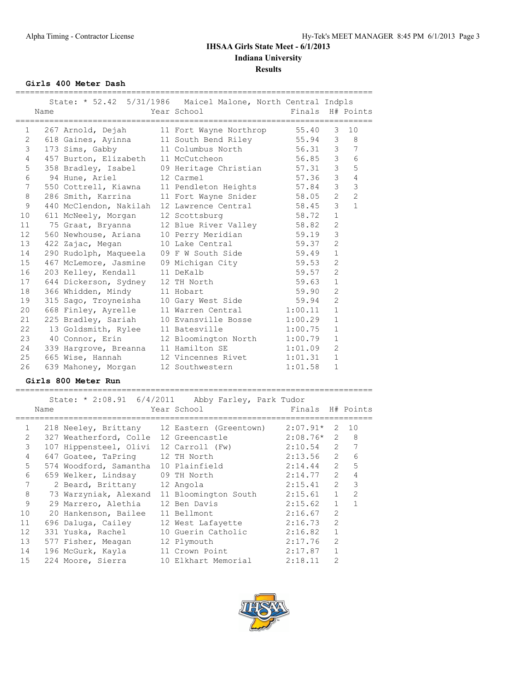**Girls 400 Meter Dash**

|                       | Name | ______________________________________ | State: * 52.42 5/31/1986 Maicel Malone, North Central Indpls<br>Year School | Finals H# Points |                |                |
|-----------------------|------|----------------------------------------|-----------------------------------------------------------------------------|------------------|----------------|----------------|
| 1                     |      |                                        | 267 Arnold, Dejah 11 Fort Wayne Northrop 55.40                              |                  | 3              | 10             |
| $\mathbf{2}^{\prime}$ |      |                                        | 618 Gaines, Ayinna 11 South Bend Riley 55.94                                |                  |                | $3 \quad 8$    |
| 3                     |      | 173 Sims, Gabby                        | 11 Columbus North 56.31 3 7                                                 |                  |                |                |
| $\overline{4}$        |      | 457 Burton, Elizabeth 11 McCutcheon    |                                                                             | 56.85 3          |                | 6              |
| 5                     |      | 358 Bradley, Isabel                    | 09 Heritage Christian 57.31 3                                               |                  |                | 5              |
| 6                     |      | 94 Hune, Ariel                         | 12 Carmel                                                                   | 57.36            | $\mathcal{S}$  | $\overline{4}$ |
| 7                     |      |                                        | 550 Cottrell, Kiawna 11 Pendleton Heights                                   | 57.84            | $\mathcal{S}$  | $\mathfrak{Z}$ |
| 8                     |      |                                        | 286 Smith, Karrina 11 Fort Wayne Snider 58.05                               |                  | $\overline{2}$ | $\overline{2}$ |
| 9                     |      |                                        | 440 McClendon, Nakilah 12 Lawrence Central 58.45                            |                  | $\mathcal{S}$  | $\mathbf{1}$   |
| 10 <sup>°</sup>       |      | 611 McNeely, Morgan                    | 12 Scottsburg                                                               | 58.72            | $\mathbf{1}$   |                |
| 11                    |      |                                        | 75 Graat, Bryanna 12 Blue River Valley 58.82                                |                  | $\overline{2}$ |                |
| 12 <sup>°</sup>       |      |                                        | 560 Newhouse, Ariana 10 Perry Meridian                                      | 59.19            | 3              |                |
| 13                    |      | 422 Zajac, Megan                       | 10 Lake Central                                                             | 59.37            | $\overline{2}$ |                |
| 14                    |      | 290 Rudolph, Maqueela                  | 09 F W South Side 59.49                                                     |                  | $\mathbf{1}$   |                |
| 15                    |      | 467 McLemore, Jasmine                  | 09 Michigan City 59.53                                                      |                  | $\overline{2}$ |                |
| 16                    |      | 203 Kelley, Kendall                    | 11 DeKalb                                                                   | 59.57            | $\overline{2}$ |                |
| 17                    |      | 644 Dickerson, Sydney                  | 12 TH North                                                                 | 59.63            | $\mathbf{1}$   |                |
| 18                    |      | 366 Whidden, Mindy 11 Hobart           |                                                                             | 59.90            | $\overline{2}$ |                |
| 19                    |      |                                        | 315 Sago, Troyneisha 10 Gary West Side 59.94                                |                  | $\overline{c}$ |                |
| 20                    |      |                                        | 668 Finley, Ayrelle 11 Warren Central 1:00.11                               |                  | $\mathbf{1}$   |                |
| 21                    |      |                                        | 225 Bradley, Sariah 10 Evansville Bosse 1:00.29                             |                  | $\mathbf{1}$   |                |
| 22                    |      | 13 Goldsmith, Rylee 11 Batesville      |                                                                             | 1:00.75          | $\mathbf{1}$   |                |
| 23                    |      |                                        | 40 Connor, Erin 12 Bloomington North 1:00.79                                |                  | $\mathbf{1}$   |                |
| 24                    |      | 339 Hargrove, Breanna 11 Hamilton SE   |                                                                             | 1:01.09          | $\overline{2}$ |                |
| 25                    |      | 665 Wise, Hannah                       | 12 Vincennes Rivet 1:01.31                                                  |                  | $\mathbf{1}$   |                |
| 26                    |      |                                        | 639 Mahoney, Morgan 12 Southwestern                                         | 1:01.58          | $\mathbf{1}$   |                |
|                       |      | Girls 800 Meter Run                    |                                                                             |                  |                |                |
|                       |      |                                        | State: * 2:08.91 6/4/2011 Abby Farley, Park Tudor                           |                  |                |                |
|                       | Name |                                        | Year School                                                                 | Finals           |                | H# Points      |

|                | Name |                                       | Year School                                 | Finals       |                | H# Points      |
|----------------|------|---------------------------------------|---------------------------------------------|--------------|----------------|----------------|
| $\mathbf{1}$   |      |                                       | 218 Neeley, Brittany 12 Eastern (Greentown) | $2:07.91*$   | 2              | 10             |
| $\mathfrak{D}$ |      | 327 Weatherford, Colle 12 Greencastle |                                             | $2:08.76*$ 2 |                | 8              |
| 3              |      | 107 Hippensteel, Olivi                | 12 Carroll (Fw)                             | $2:10.54$ 2  |                |                |
| $\overline{4}$ |      | 647 Goatee, TaPring                   | 12 TH North                                 | 2:13.56      | $\overline{2}$ | 6              |
| 5              |      | 574 Woodford, Samantha                | 10 Plainfield                               | 2:14.44      | $\overline{2}$ | 5              |
| 6              |      | 659 Welker, Lindsay                   | 09 TH North                                 | 2:14.77      | $\mathcal{L}$  | 4              |
| 7              |      | 2 Beard, Brittany                     | 12 Angola                                   | 2:15.41      | 2              | 3              |
| 8              |      | 73 Warzyniak, Alexand                 | 11 Bloomington South                        | 2:15.61      | $\mathbf{1}$   | $\overline{2}$ |
| 9              |      | 29 Marrero, Alethia                   | 12 Ben Davis                                | 2:15.62      | 1              |                |
| 10             |      | 20 Hankenson, Bailee                  | 11 Bellmont                                 | 2:16.67      | $\overline{2}$ |                |
| 11             |      | 696 Daluga, Cailey                    | 12 West Lafayette                           | 2:16.73      | $\mathcal{L}$  |                |
| 12             |      | 331 Yuska, Rachel                     | 10 Guerin Catholic                          | 2:16.82      |                |                |
| 13             |      | 577 Fisher, Meagan                    | 12 Plymouth                                 | 2:17.76      | $\overline{2}$ |                |
| 14             |      | 196 McGurk, Kayla                     | 11 Crown Point                              | 2:17.87      | $\mathbf{1}$   |                |
| 15             |      | 224 Moore, Sierra                     | 10 Elkhart Memorial                         | 2:18.11      | $\mathfrak{D}$ |                |
|                |      |                                       |                                             |              |                |                |

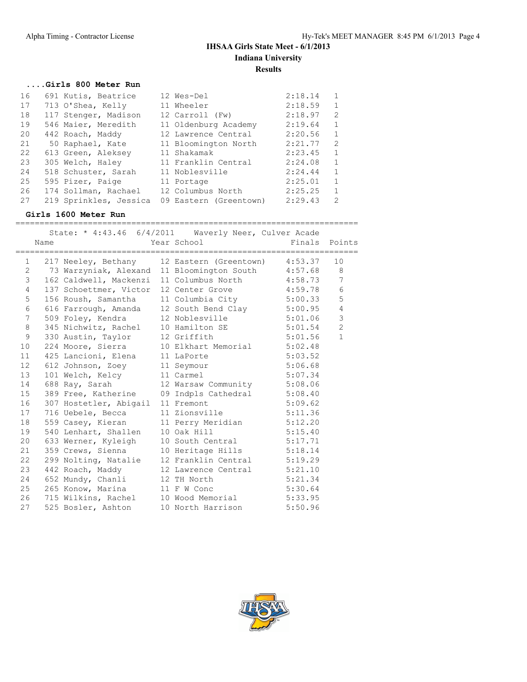#### **....Girls 800 Meter Run**

| 16 | 691 Kutis, Beatrice    | 12 Wes-Del             | 2:18.14 | $\mathbf{1}$  |
|----|------------------------|------------------------|---------|---------------|
| 17 | 713 O'Shea, Kelly      | 11 Wheeler             | 2:18.59 | $\mathbf{1}$  |
| 18 | 117 Stenger, Madison   | 12 Carroll (Fw)        | 2:18.97 | $\mathcal{L}$ |
| 19 | 546 Maier, Meredith    | 11 Oldenburg Academy   | 2:19.64 | $\mathbf{1}$  |
| 20 | 442 Roach, Maddy       | 12 Lawrence Central    | 2:20.56 | 1             |
| 21 | 50 Raphael, Kate       | 11 Bloomington North   | 2:21.77 | $\mathcal{L}$ |
| 22 | 613 Green, Aleksey     | 11 Shakamak            | 2:23.45 | 1             |
| 23 | 305 Welch, Haley       | 11 Franklin Central    | 2:24.08 | 1             |
| 24 | 518 Schuster, Sarah    | 11 Noblesville         | 2:24.44 | $\mathbf{1}$  |
| 25 | 595 Pizer, Paige       | 11 Portage             | 2:25.01 | $\mathbf{1}$  |
| 26 | 174 Sollman, Rachael   | 12 Columbus North      | 2:25.25 | $\mathbf{1}$  |
| 27 | 219 Sprinkles, Jessica | 09 Eastern (Greentown) | 2:29.43 | $\mathcal{L}$ |

### **Girls 1600 Meter Run**

======================================================================= State: \* 4:43.46 6/4/2011 Waverly Neer, Culver Acade Name Year School Finals Points ======================================================================= 1 217 Neeley, Bethany 12 Eastern (Greentown) 4:53.37 10 2 73 Warzyniak, Alexand 11 Bloomington South 4:57.68 8 3 162 Caldwell, Mackenzi 11 Columbus North 4:58.73 7 4 137 Schoettmer, Victor 12 Center Grove 4:59.78 6 5 156 Roush, Samantha 11 Columbia City 5:00.33 5 6 616 Farrough, Amanda 12 South Bend Clay 5:00.95 4 7 509 Foley, Kendra 12 Noblesville 5:01.06 3 8 345 Nichwitz, Rachel 10 Hamilton SE 5:01.54 2 9 330 Austin, Taylor 12 Griffith 5:01.56 1 10 224 Moore, Sierra 10 Elkhart Memorial 5:02.48 11 425 Lancioni, Elena 11 LaPorte 5:03.52 12 612 Johnson, Zoey 11 Seymour 5:06.68 13 101 Welch, Kelcy 11 Carmel 5:07.34 14 688 Ray, Sarah 12 Warsaw Community 5:08.06 15 389 Free, Katherine 09 Indpls Cathedral 5:08.40 16 307 Hostetler, Abigail 11 Fremont 5:09.62 17 716 Uebele, Becca 11 Zionsville 5:11.36 18 559 Casey, Kieran 11 Perry Meridian 5:12.20 19 540 Lenhart, Shallen 10 Oak Hill 5:15.40 20 633 Werner, Kyleigh 10 South Central 5:17.71 21 359 Crews, Sienna 10 Heritage Hills 5:18.14 22 299 Nolting, Natalie 12 Franklin Central 5:19.29 23 442 Roach, Maddy 12 Lawrence Central 5:21.10 24 652 Mundy, Chanli 12 TH North 5:21.34 25 265 Konow, Marina 11 F W Conc 5:30.64 26 715 Wilkins, Rachel 10 Wood Memorial 5:33.95 27 525 Bosler, Ashton 10 North Harrison 5:50.96

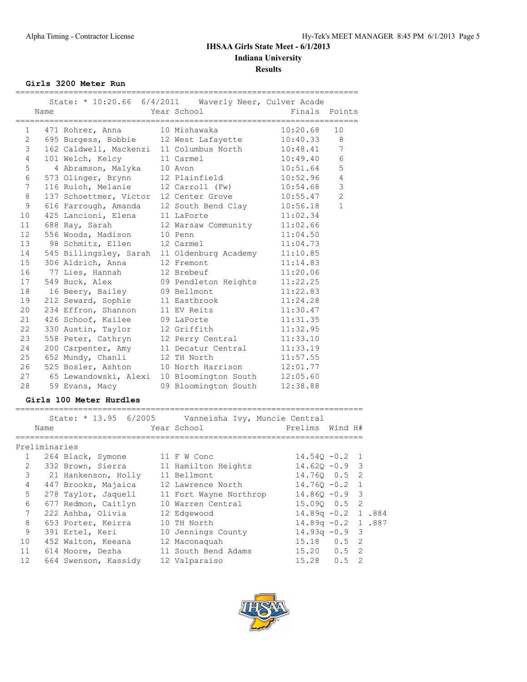**Girls 3200 Meter Run**

|                 | Name | State: * 10:20.66 6/4/2011     Waverly Neer, Culver Acade | Year School          | Finals Points |                 |
|-----------------|------|-----------------------------------------------------------|----------------------|---------------|-----------------|
| 1.              |      |                                                           |                      | 10:20.68      | 10              |
|                 |      | 2 695 Burgess, Bobbie 12 West Lafayette                   |                      | $10:40.33$ 8  |                 |
| 3               |      | 162 Caldwell, Mackenzi 11 Columbus North                  |                      | 10:48.41      | $7\phantom{.0}$ |
| 4               |      | 101 Welch, Kelcy 11 Carmel                                |                      | 10:49.40      | $\sqrt{6}$      |
| 5               |      | 4 Abramson, Malyka                                        | 10 Avon              | 10:51.64      | 5               |
| 6               |      | 573 Olinger, Brynn 12 Plainfield                          |                      | 10:52.96      | $\overline{4}$  |
| 7               |      | 116 Ruich, Melanie                                        | 12 Carroll (Fw)      | 10:54.68      | $\mathfrak{Z}$  |
| 8               |      | 137 Schoettmer, Victor 12 Center Grove                    |                      | 10:55.47      | $\overline{2}$  |
| $\mathcal{G}$   |      | 616 Farrough, Amanda                                      | 12 South Bend Clay   | 10:56.18      | $\mathbf{1}$    |
|                 |      | 10 425 Lancioni, Elena 11 LaPorte                         |                      | 11:02.34      |                 |
|                 |      | 11 688 Ray, Sarah                                         | 12 Warsaw Community  | 11:02.66      |                 |
| 12 <sup>°</sup> |      | 556 Woods, Madison                                        | 10 Penn              | 11:04.50      |                 |
| 13              |      | 98 Schmitz, Ellen                                         | 12 Carmel            | 11:04.73      |                 |
| 14              |      | 545 Billingsley, Sarah 11 Oldenburg Academy               |                      | 11:10.85      |                 |
| 15              |      | 306 Aldrich, Anna                                         | 12 Fremont           | 11:14.83      |                 |
|                 |      | 16 77 Lies, Hannah                                        | 12 Brebeuf           | 11:20.06      |                 |
|                 | 17   | 549 Buck, Alex                                            | 09 Pendleton Heights | 11:22.25      |                 |
| 18              |      | 16 Beery, Bailey                                          | 09 Bellmont          | 11:22.83      |                 |
| 19              |      | 212 Seward, Sophie                                        | 11 Eastbrook         | 11:24.28      |                 |
| 20              |      | 234 Effron, Shannon                                       | 11 EV Reitz          | 11:30.47      |                 |
|                 |      | 21 426 Schoof, Kailee 09 LaPorte                          |                      | 11:31.35      |                 |
| 22              |      | 330 Austin, Taylor                                        | 12 Griffith          | 11:32.95      |                 |
| 23              |      | 558 Peter, Cathryn                                        | 12 Perry Central     | 11:33.10      |                 |
| 24              |      | 200 Carpenter, Amy                                        | 11 Decatur Central   | 11:33.19      |                 |
| 25              |      | 652 Mundy, Chanli                                         | 12 TH North          | 11:57.55      |                 |
|                 |      | 26 525 Bosler, Ashton                                     | 10 North Harrison    | 12:01.77      |                 |
| 27              |      | 65 Lewandowski, Alexi                                     | 10 Bloomington South | 12:05.60      |                 |
| 28              |      | 59 Evans, Macy                                            | 09 Bloomington South | 12:38.88      |                 |

#### **Girls 100 Meter Hurdles**

|                | Name          |                      | State: * 13.95 6/2005 Vanneisha Ivy, Muncie Central<br>Year School | Prelims Wind H#      |    |
|----------------|---------------|----------------------|--------------------------------------------------------------------|----------------------|----|
|                | Preliminaries |                      |                                                                    |                      |    |
| $\mathbf{1}$   |               | 264 Black, Symone    | 11 F W Conc                                                        | $14.540 - 0.2$ 1     |    |
| $\mathfrak{L}$ |               | 332 Brown, Sierra    | 11 Hamilton Heights                                                | $14.62Q - 0.9$ 3     |    |
| 3              |               | 21 Hankenson, Holly  | 11 Bellmont                                                        | 14.760 0.5 2         |    |
| $\overline{4}$ |               | 447 Brooks, Majaica  | 12 Lawrence North                                                  | $14.760 - 0.2$ 1     |    |
| 5              |               | 278 Taylor, Jaquell  | 11 Fort Wayne Northrop                                             | $14.860 - 0.9$ 3     |    |
| 6              |               | 677 Redmon, Caitlyn  | 10 Warren Central                                                  | 15.090 0.5 2         |    |
| 7              |               | 222 Ashba, Olivia    | 12 Edgewood                                                        | $14.89q - 0.2$ 1.884 |    |
| 8              |               | 653 Porter, Keirra   | 10 TH North                                                        | $14.89q - 0.2$ 1.887 |    |
| 9              |               | 391 Ertel, Keri      | 10 Jennings County                                                 | $14.93q - 0.9$ 3     |    |
| 10             |               | 452 Walton, Keeana   | 12 Maconaguah                                                      | $15.18$ 0.5 2        |    |
| 11             |               | 614 Moore, Dezha     | 11 South Bend Adams                                                | $15.20 \t 0.5 \t 2$  |    |
| 12             |               | 664 Swenson, Kassidy | 12 Valparaiso                                                      | $15.28 \t 0.5$       | -2 |

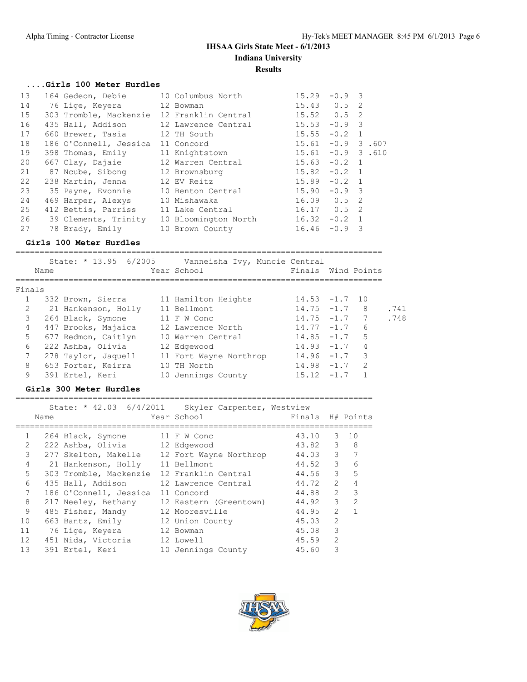#### **....Girls 100 Meter Hurdles**

| 13 | 164 Gedeon, Debie                 | 10 Columbus North                          | 15.29           | $-0.9$ 3       |              |
|----|-----------------------------------|--------------------------------------------|-----------------|----------------|--------------|
| 14 | 76 Lige, Keyera                   | 12 Bowman                                  | $15.43$ 0.5 2   |                |              |
| 15 |                                   | 303 Tromble, Mackenzie 12 Franklin Central | $15.52$ 0.5 2   |                |              |
| 16 | 435 Hall, Addison                 | 12 Lawrence Central                        | 15.53           | $-0.9$ 3       |              |
| 17 | 660 Brewer, Tasia 12 TH South     |                                            | 15.55           | $-0.2$         | 1            |
| 18 | 186 O'Connell, Jessica 11 Concord |                                            | 15.61           |                | $-0.9$ 3.607 |
| 19 | 398 Thomas, Emily                 | 11 Knightstown                             | 15.61           |                | $-0.9$ 3.610 |
| 20 | 667 Clay, Dajaie                  | 12 Warren Central                          | $15.63 - 0.2 1$ |                |              |
| 21 | 87 Noube, Sibong 12 Brownsburg    |                                            | 15.82           | $-0.2$ 1       |              |
| 22 | 238 Martin, Jenna                 | 12 EV Reitz                                | 15.89           | $-0.2$ 1       |              |
| 23 | 35 Payne, Evonnie                 | 10 Benton Central                          | 15.90           | $-0.9$ 3       |              |
| 24 | 469 Harper, Alexys                | 10 Mishawaka                               | $16.09$ $0.5$ 2 |                |              |
| 25 | 412 Bettis, Parriss               | 11 Lake Central                            | $16.17$ 0.5 2   |                |              |
| 26 | 39 Clements, Trinity              | 10 Bloomington North                       | 16.32           | $-0.2 \quad 1$ |              |
| 27 | 78 Brady, Emily                   | 10 Brown County                            | 16.46           | $-0.9$ 3       |              |

### **Girls 100 Meter Hurdles**

| Name   |  |                                                                                                                                                                                                  |                         |                                                                         |                                                                                                            |                               |                                                                                                                     |                                        |
|--------|--|--------------------------------------------------------------------------------------------------------------------------------------------------------------------------------------------------|-------------------------|-------------------------------------------------------------------------|------------------------------------------------------------------------------------------------------------|-------------------------------|---------------------------------------------------------------------------------------------------------------------|----------------------------------------|
| Finals |  |                                                                                                                                                                                                  |                         |                                                                         |                                                                                                            |                               |                                                                                                                     |                                        |
|        |  |                                                                                                                                                                                                  |                         |                                                                         |                                                                                                            |                               |                                                                                                                     |                                        |
|        |  |                                                                                                                                                                                                  |                         |                                                                         |                                                                                                            |                               | - 8                                                                                                                 | .741                                   |
|        |  |                                                                                                                                                                                                  |                         |                                                                         |                                                                                                            |                               | $\overline{7}$                                                                                                      | .748                                   |
|        |  |                                                                                                                                                                                                  |                         |                                                                         |                                                                                                            |                               | 6                                                                                                                   |                                        |
|        |  |                                                                                                                                                                                                  |                         |                                                                         |                                                                                                            |                               | 5                                                                                                                   |                                        |
|        |  |                                                                                                                                                                                                  |                         |                                                                         |                                                                                                            |                               | 4                                                                                                                   |                                        |
|        |  |                                                                                                                                                                                                  |                         |                                                                         |                                                                                                            |                               | 3                                                                                                                   |                                        |
|        |  |                                                                                                                                                                                                  |                         |                                                                         |                                                                                                            |                               | $\mathcal{L}$                                                                                                       |                                        |
|        |  | 10                                                                                                                                                                                               |                         |                                                                         | 15.12                                                                                                      | $-1.7$                        |                                                                                                                     |                                        |
|        |  | 332 Brown, Sierra<br>21 Hankenson, Holly<br>264 Black, Symone<br>447 Brooks, Majaica<br>677 Redmon, Caitlyn<br>222 Ashba, Olivia<br>278 Taylor, Jaquell<br>653 Porter, Keirra<br>391 Ertel, Keri | State: $* 13.95 6/2005$ | Year School<br>11 Bellmont<br>11 F W Conc<br>12 Edgewood<br>10 TH North | 11 Hamilton Heights<br>12 Lawrence North<br>10 Warren Central<br>11 Fort Wayne Northrop<br>Jennings County | Vanneisha Ivy, Muncie Central | $14.75 - 1.7$<br>$14.75 - 1.7$<br>$14.77 - 1.7$<br>$14.85 - 1.7$<br>$14.93 - 1.7$<br>$14.96 - 1.7$<br>$14.98 - 1.7$ | Finals Wind Points<br>$14.53 - 1.7$ 10 |

|              | Girls 300 Meter Hurdles |                                                     |  |                        |                  |                |                |  |  |  |  |  |  |
|--------------|-------------------------|-----------------------------------------------------|--|------------------------|------------------|----------------|----------------|--|--|--|--|--|--|
|              | Name                    | State: * 42.03 6/4/2011 Skyler Carpenter, Westview  |  | Year School            | Finals H# Points |                |                |  |  |  |  |  |  |
| $\mathbf{1}$ |                         | 264 Black, Symone 11 F W Conc                       |  |                        | 43.10            | 3              | $\sqrt{10}$    |  |  |  |  |  |  |
| 2            |                         | 222 Ashba, Olivia 12 Edgewood                       |  |                        | 43.82            | 3              | 8              |  |  |  |  |  |  |
| 3            |                         | 277 Skelton, Makelle 12 Fort Wayne Northrop 44.03 3 |  |                        |                  |                | 7              |  |  |  |  |  |  |
| 4            |                         | 21 Hankenson, Holly 11 Bellmont                     |  |                        | 44.52            | $\mathcal{B}$  | 6              |  |  |  |  |  |  |
| 5            |                         | 303 Tromble, Mackenzie 12 Franklin Central          |  |                        | 44.56            | $\mathcal{E}$  | 5              |  |  |  |  |  |  |
| 6            |                         | 435 Hall, Addison                                   |  | 12 Lawrence Central    | 44.72 2          |                | $\overline{4}$ |  |  |  |  |  |  |
| 7            |                         | 186 O'Connell, Jessica                              |  | 11 Concord             | 44.88            | $\overline{2}$ | 3              |  |  |  |  |  |  |
| 8            |                         | 217 Neeley, Bethany                                 |  | 12 Eastern (Greentown) | 44.92            | $\mathcal{E}$  | $\overline{2}$ |  |  |  |  |  |  |
| 9            |                         | 485 Fisher, Mandy                                   |  | 12 Mooresville         | 44.95            | $\overline{2}$ | $\mathbf{1}$   |  |  |  |  |  |  |
| 10           |                         | 663 Bantz, Emily 12 Union County                    |  |                        | 45.03            | $\mathfrak{D}$ |                |  |  |  |  |  |  |
| 11           |                         | 76 Lige, Keyera         12 Bowman                   |  |                        | 45.08            | 3              |                |  |  |  |  |  |  |
| 12           |                         | 451 Nida, Victoria                                  |  | 12 Lowell              | 45.59            | $\overline{2}$ |                |  |  |  |  |  |  |
| 13           |                         | 391 Ertel, Keri                                     |  | 10 Jennings County     | 45.60            | 3              |                |  |  |  |  |  |  |

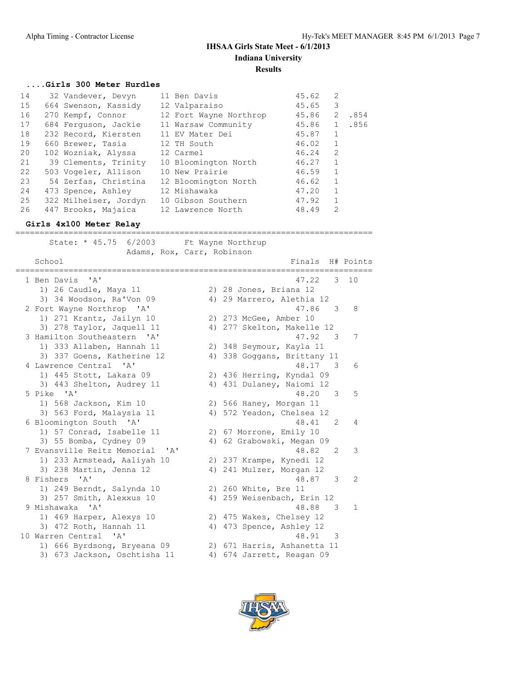## **....Girls 300 Meter Hurdles**

| 32 Vandever, Devyn | 11 Ben Davis                                                                                                                                                                                                                                                                        | 45.62 | 2              |                                |
|--------------------|-------------------------------------------------------------------------------------------------------------------------------------------------------------------------------------------------------------------------------------------------------------------------------------|-------|----------------|--------------------------------|
|                    | 12 Valparaiso                                                                                                                                                                                                                                                                       | 45.65 | 3              |                                |
|                    | 12 Fort Wayne Northrop                                                                                                                                                                                                                                                              |       | 2              | .854                           |
|                    | 11 Warsaw Community                                                                                                                                                                                                                                                                 |       |                | .856                           |
|                    | 11 EV Mater Dei                                                                                                                                                                                                                                                                     | 45.87 | $\mathbf{1}$   |                                |
|                    | 12 TH South                                                                                                                                                                                                                                                                         | 46.02 | $\mathbf{1}$   |                                |
|                    | 12 Carmel                                                                                                                                                                                                                                                                           | 46.24 | $\overline{2}$ |                                |
|                    | 10 Bloomington North                                                                                                                                                                                                                                                                | 46.27 | $\mathbf{1}$   |                                |
|                    | 10 New Prairie                                                                                                                                                                                                                                                                      | 46.59 | $\mathbf{1}$   |                                |
|                    | 12 Bloomington North                                                                                                                                                                                                                                                                | 46.62 | $\mathbf{1}$   |                                |
|                    | 12 Mishawaka                                                                                                                                                                                                                                                                        | 47.20 | $\mathbf{1}$   |                                |
|                    | 10 Gibson Southern                                                                                                                                                                                                                                                                  | 47.92 | $\mathbf{1}$   |                                |
|                    | 12 Lawrence North                                                                                                                                                                                                                                                                   | 48.49 | $\overline{2}$ |                                |
|                    | 664 Swenson, Kassidy<br>270 Kempf, Connor<br>684 Ferquson, Jackie<br>232 Record, Kiersten<br>660 Brewer, Tasia<br>102 Wozniak, Alyssa<br>39 Clements, Trinity<br>503 Vogeler, Allison<br>54 Zerfas, Christina<br>473 Spence, Ashley<br>322 Milheiser, Jordyn<br>447 Brooks, Majaica |       |                | 45.86<br>45.86<br>$\mathbf{1}$ |

==========================================================================

**Girls 4x100 Meter Relay**

| State: * 45.75 6/2003 Ft Wayne Northrup | Adams, Rox, Carr, Robinson                        |                |
|-----------------------------------------|---------------------------------------------------|----------------|
| School<br>,,,,,,,,,,,,,,,,,,,,,,        | Finals H# Points<br>============================= |                |
| 1 Ben Davis 'A'                         | 47.22<br>$3 - 10$                                 |                |
| 1) 26 Caudle, Maya 11                   | 2) 28 Jones, Briana 12                            |                |
| 3) 34 Woodson, Ra'Von 09                | 4) 29 Marrero, Alethia 12                         |                |
| 2 Fort Wayne Northrop 'A'               | - 3<br>47.86                                      | 8              |
| 1) 271 Krantz, Jailyn 10                | 2) 273 McGee, Amber 10                            |                |
| 3) 278 Taylor, Jaquell 11               | 4) 277 Skelton, Makelle 12                        |                |
| 3 Hamilton Southeastern 'A'             | 47.92<br>$\overline{\mathbf{3}}$                  | 7              |
| 1) 333 Allaben, Hannah 11               | 2) 348 Seymour, Kayla 11                          |                |
| 3) 337 Goens, Katherine 12              | 4) 338 Goggans, Brittany 11                       |                |
| 4 Lawrence Central 'A'                  | 48.17 3                                           | 6              |
| 1) 445 Stott, Lakara 09                 | 2) 436 Herring, Kyndal 09                         |                |
| 3) 443 Shelton, Audrey 11               | 4) 431 Dulaney, Naiomi 12                         |                |
| 5 Pike 'A'                              | 48.20 3                                           | 5              |
| 1) 568 Jackson, Kim 10                  | 2) 566 Haney, Morgan 11                           |                |
| 3) 563 Ford, Malaysia 11                | 4) 572 Yeadon, Chelsea 12                         |                |
| 6 Bloomington South 'A'                 | 48.41<br>$\mathcal{L}$                            | 4              |
| 1) 57 Conrad, Isabelle 11               | 2) 67 Morrone, Emily 10                           |                |
| 3) 55 Bomba, Cydney 09                  | 4) 62 Grabowski, Megan 09                         |                |
| 7 Evansville Reitz Memorial 'A'         | 48.82<br>$\mathcal{L}$                            | 3              |
| 1) 233 Armstead, Aaliyah 10             | 2) 237 Krampe, Kynedi 12                          |                |
| 3) 238 Martin, Jenna 12                 | 4) 241 Mulzer, Morgan 12                          |                |
| 8 Fishers 'A'                           | 48.87 3                                           | $\mathfrak{D}$ |
| 1) 249 Berndt, Salynda 10               | 2) 260 White, Bre 11                              |                |
| 3) 257 Smith, Alexxus 10                | 4) 259 Weisenbach, Erin 12                        |                |
| 9 Mishawaka<br>$\mathsf{A}$             | 48.88<br>3                                        | 1              |
| 1) 469 Harper, Alexys 10                | 2) 475 Wakes, Chelsey 12                          |                |
| 3) 472 Roth, Hannah 11                  | 4) 473 Spence, Ashley 12                          |                |
| 10 Warren Central 'A'                   | 48.91 3                                           |                |
| 1) 666 Byrdsong, Bryeana 09             | 2) 671 Harris, Ashanetta 11                       |                |
| 3) 673 Jackson, Oschtisha 11            | 4) 674 Jarrett, Reagan 09                         |                |

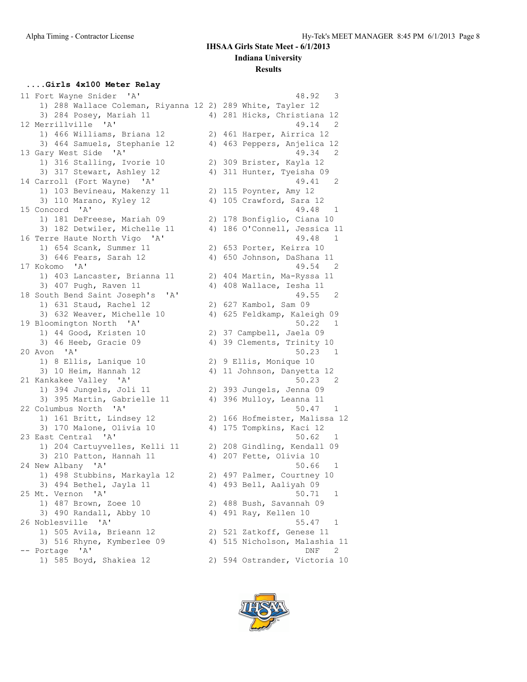## **....Girls 4x100 Meter Relay**

| 11 Fort Wayne Snider 'A'                                   | 48.92<br>3                                             |
|------------------------------------------------------------|--------------------------------------------------------|
| 1) 288 Wallace Coleman, Riyanna 12 2) 289 White, Tayler 12 |                                                        |
| 3) 284 Posey, Mariah 11                                    | 4) 281 Hicks, Christiana 12                            |
| 12 Merrillville 'A'                                        | 49.14<br>2                                             |
| 1) 466 Williams, Briana 12                                 | 2) 461 Harper, Airrica 12                              |
| 3) 464 Samuels, Stephanie 12                               | 4) 463 Peppers, Anjelica 12                            |
| 13 Gary West Side 'A'                                      | 49.34<br>2                                             |
| 1) 316 Stalling, Ivorie 10                                 | 2) 309 Brister, Kayla 12                               |
| 3) 317 Stewart, Ashley 12                                  | 4) 311 Hunter, Tyeisha 09                              |
| 14 Carroll (Fort Wayne) 'A'                                | 49.41<br>2                                             |
| 1) 103 Bevineau, Makenzy 11                                | 2) 115 Poynter, Amy 12                                 |
| 3) 110 Marano, Kyley 12                                    | 4) 105 Crawford, Sara 12                               |
| 15 Concord 'A'                                             | 49.48<br>1                                             |
| 1) 181 DeFreese, Mariah 09                                 | 2) 178 Bonfiglio, Ciana 10                             |
| 3) 182 Detwiler, Michelle 11                               | 4) 186 O'Connell, Jessica 11                           |
| 16 Terre Haute North Vigo 'A'                              | 49.48<br>1                                             |
| 1) 654 Scank, Summer 11                                    | 2) 653 Porter, Keirra 10                               |
| 3) 646 Fears, Sarah 12                                     | 4) 650 Johnson, DaShana 11                             |
| 17 Kokomo 'A'                                              | 49.54<br>$\overline{\phantom{0}}^2$                    |
| 1) 403 Lancaster, Brianna 11                               | 2) 404 Martin, Ma-Ryssa 11                             |
| 3) 407 Pugh, Raven 11                                      | 4) 408 Wallace, Iesha 11                               |
| ' A'                                                       | 49.55<br>2                                             |
| 18 South Bend Saint Joseph's<br>1) 631 Staud, Rachel 12    |                                                        |
|                                                            | 2) 627 Kambol, Sam 09                                  |
| 3) 632 Weaver, Michelle 10                                 | 4) 625 Feldkamp, Kaleigh 09<br>50.22<br>- 1            |
| 19 Bloomington North 'A'                                   |                                                        |
| 1) 44 Good, Kristen 10                                     | 2) 37 Campbell, Jaela 09<br>4) 39 Clements, Trinity 10 |
| 3) 46 Heeb, Gracie 09                                      |                                                        |
| 20 Avon 'A'                                                | 50.23<br>- 1                                           |
| 1) 8 Ellis, Lanique 10                                     | 2) 9 Ellis, Monique 10                                 |
| 3) 10 Heim, Hannah 12                                      | 4) 11 Johnson, Danyetta 12                             |
| 21 Kankakee Valley 'A'                                     | 50.23<br>2                                             |
| 1) 394 Jungels, Joli 11                                    | 2) 393 Jungels, Jenna 09                               |
| 3) 395 Martin, Gabrielle 11                                | 4) 396 Mulloy, Leanna 11                               |
| 22 Columbus North 'A'                                      | 50.47<br>1                                             |
| 1) 161 Britt, Lindsey 12                                   | 2) 166 Hofmeister, Malissa 12                          |
| 3) 170 Malone, Olivia 10                                   | 4) 175 Tompkins, Kaci 12                               |
| 23 East Central 'A'                                        | 50.62<br>1                                             |
| 1) 204 Cartuyvelles, Kelli 11                              | 2) 208 Gindling, Kendall 09                            |
| 3) 210 Patton, Hannah 11                                   | 4) 207 Fette, Olivia 10                                |
| 24 New Albany 'A'                                          | 50.66<br>$\mathbf{1}$                                  |
| 1) 498 Stubbins, Markayla 12                               | 2) 497 Palmer, Courtney 10                             |
| 3) 494 Bethel, Jayla 11                                    | 4) 493 Bell, Aaliyah 09                                |
| 25 Mt. Vernon<br>A'                                        | 50.71<br>1                                             |
| 1) 487 Brown, Zoee 10                                      | 2) 488 Bush, Savannah 09                               |
| 3) 490 Randall, Abby 10                                    | 4) 491 Ray, Kellen 10                                  |
| 26 Noblesville 'A'                                         | 55.47<br>1                                             |
| 1) 505 Avila, Brieann 12                                   | 2) 521 Zatkoff, Genese 11                              |
| 3) 516 Rhyne, Kymberlee 09                                 | 4) 515 Nicholson, Malashia 11                          |
| -- Portage 'A'                                             | DNF<br>2                                               |
| 1) 585 Boyd, Shakiea 12                                    | 2) 594 Ostrander, Victoria 10                          |
|                                                            |                                                        |

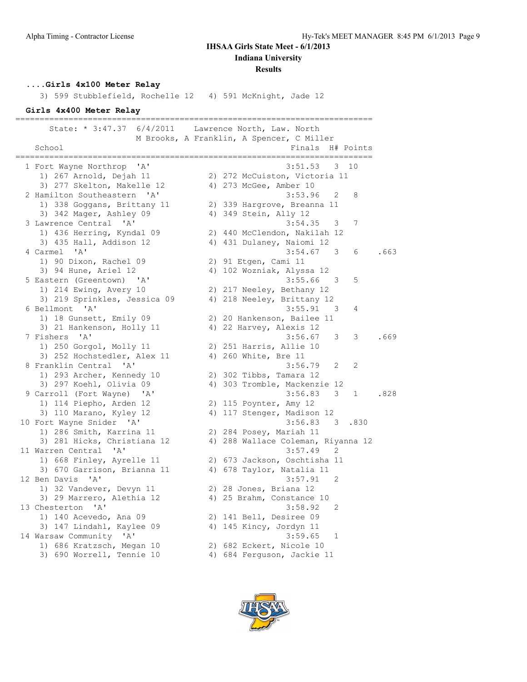# **IHSAA Girls State Meet - 6/1/2013**

**Indiana University**

#### **Results**

### **....Girls 4x100 Meter Relay**

3) 599 Stubblefield, Rochelle 12 4) 591 McKnight, Jade 12

#### **Girls 4x400 Meter Relay**

========================================================================== State: \* 3:47.37 6/4/2011 Lawrence North, Law. North M Brooks, A Franklin, A Spencer, C Miller School Finals H# Points ========================================================================== 1 Fort Wayne Northrop 'A' 3:51.53 3 10 1) 267 Arnold, Dejah 11 2) 272 McCuiston, Victoria 11 3) 277 Skelton, Makelle 12 4) 273 McGee, Amber 10 2 Hamilton Southeastern 'A' 3:53.96 2 8 1) 338 Goggans, Brittany 11 2) 339 Hargrove, Breanna 11 3) 342 Mager, Ashley 09 4) 349 Stein, Ally 12 3 Lawrence Central 'A' 3:54.35 3 7 1) 436 Herring, Kyndal 09 2) 440 McClendon, Nakilah 12 3) 435 Hall, Addison 12 4) 431 Dulaney, Naiomi 12 4 Carmel 'A' 3:54.67 3 6 .663 1) 90 Dixon, Rachel 09 2) 91 Etgen, Cami 11 3) 94 Hune, Ariel 12 4) 102 Wozniak, Alyssa 12 5 Eastern (Greentown) 'A' 3:55.66 3 5 1) 214 Ewing, Avery 10 2) 217 Neeley, Bethany 12 3) 219 Sprinkles, Jessica 09 4) 218 Neeley, Brittany 12 6 Bellmont 'A' 3:55.91 3 4 1) 18 Gunsett, Emily 09 2) 20 Hankenson, Bailee 11 3) 21 Hankenson, Holly 11 4) 22 Harvey, Alexis 12 7 Fishers 'A' 3:56.67 3 3 .669 1) 250 Gorgol, Molly 11 2) 251 Harris, Allie 10 3) 252 Hochstedler, Alex 11 4) 260 White, Bre 11 8 Franklin Central 'A' 3:56.79 2 2 1) 293 Archer, Kennedy 10 2) 302 Tibbs, Tamara 12 3) 297 Koehl, Olivia 09 4) 303 Tromble, Mackenzie 12 9 Carroll (Fort Wayne) 'A' 3:56.83 3 1 .828 1) 114 Piepho, Arden 12 2) 115 Poynter, Amy 12 3) 110 Marano, Kyley 12 4) 117 Stenger, Madison 12 10 Fort Wayne Snider 'A' 3:56.83 3 .830 1) 286 Smith, Karrina 11 2) 284 Posey, Mariah 11 3) 281 Hicks, Christiana 12 4) 288 Wallace Coleman, Riyanna 12 11 Warren Central 'A' 3:57.49 2 1) 668 Finley, Ayrelle 11 2) 673 Jackson, Oschtisha 11 3) 670 Garrison, Brianna 11 4) 678 Taylor, Natalia 11 12 Ben Davis 'A' 3:57.91 2 1) 32 Vandever, Devyn 11 2) 28 Jones, Briana 12 3) 29 Marrero, Alethia 12 4) 25 Brahm, Constance 10 13 Chesterton 'A' 3:58.92 2 1) 140 Acevedo, Ana 09 2) 141 Bell, Desiree 09 3) 147 Lindahl, Kaylee 09 4) 145 Kincy, Jordyn 11 14 Warsaw Community 'A' 3:59.65 1 1) 686 Kratzsch, Megan 10 2) 682 Eckert, Nicole 10 3) 690 Worrell, Tennie 10 4) 684 Ferguson, Jackie 11

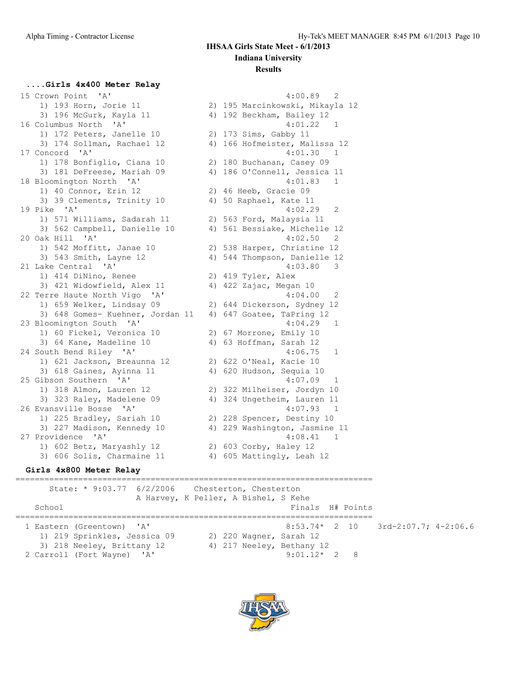#### **....Girls 4x400 Meter Relay**

 15 Crown Point 'A' 4:00.89 2 1) 193 Horn, Jorie 11 2) 195 Marcinkowski, Mikayla 12 3) 196 McGurk, Kayla 11 4) 192 Beckham, Bailey 12 16 Columbus North 'A' 4:01.22 1 1) 172 Peters, Janelle 10 2) 173 Sims, Gabby 11 3) 174 Sollman, Rachael 12 4) 166 Hofmeister, Malissa 12 17 Concord 'A' 4:01.30 1 1) 178 Bonfiglio, Ciana 10 2) 180 Buchanan, Casey 09 3) 181 DeFreese, Mariah 09 4) 186 O'Connell, Jessica 11 18 Bloomington North 'A' 4:01.83 1 1) 40 Connor, Erin 12 2) 46 Heeb, Gracie 09 3) 39 Clements, Trinity 10 4) 50 Raphael, Kate 11 19 Pike 'A' 4:02.29 2 1) 571 Williams, Sadarah 11 2) 563 Ford, Malaysia 11 3) 562 Campbell, Danielle 10 4) 561 Bessiake, Michelle 12 20 Oak Hill 'A' 4:02.50 2 1) 542 Moffitt, Janae 10 2) 538 Harper, Christine 12 3) 543 Smith, Layne 12 4) 544 Thompson, Danielle 12 21 Lake Central 'A' 4:03.80 3 1) 414 DiNino, Renee 2) 419 Tyler, Alex 3) 421 Widowfield, Alex 11 4) 422 Zajac, Megan 10 22 Terre Haute North Vigo 'A' 4:04.00 2 1) 659 Welker, Lindsay 09 2) 644 Dickerson, Sydney 12 3) 648 Gomes- Kuehner, Jordan 11 4) 647 Goatee, TaPring 12 23 Bloomington South 'A' 4:04.29 1 1) 60 Fickel, Veronica 10 2) 67 Morrone, Emily 10 3) 64 Kane, Madeline 10 4) 63 Hoffman, Sarah 12 24 South Bend Riley 'A' 4:06.75 1 1) 621 Jackson, Breaunna 12 2) 622 O'Neal, Kacie 10 3) 618 Gaines, Ayinna 11 4) 620 Hudson, Sequia 10 25 Gibson Southern 'A' 4:07.09 1 1) 318 Almon, Lauren 12 2) 322 Milheiser, Jordyn 10 3) 323 Raley, Madelene 09 4) 324 Ungetheim, Lauren 11 26 Evansville Bosse 'A' 4:07.93 1 1) 225 Bradley, Sariah 10 2) 228 Spencer, Destiny 10 3) 227 Madison, Kennedy 10 4) 229 Washington, Jasmine 11 27 Providence 'A' 4:08.41 1 1) 602 Betz, Maryashly 12 2) 603 Corby, Haley 12 3) 606 Solis, Charmaine 11 4) 605 Mattingly, Leah 12

#### **Girls 4x800 Meter Relay**

========================================================================== State: \* 9:03.77 6/2/2006 Chesterton, Chesterton A Harvey, K Peller, A Bishel, S Kehe School **Finals H# Points** ========================================================================== 1 Eastern (Greentown) 'A' 8:53.74\* 2 10 3rd-2:07.7; 4-2:06.6 1) 219 Sprinkles, Jessica 09 2) 220 Wagner, Sarah 12 3) 218 Neeley, Brittany 12 4) 217 Neeley, Bethany 12 2 Carroll (Fort Wayne) 'A' 9:01.12\* 2 8

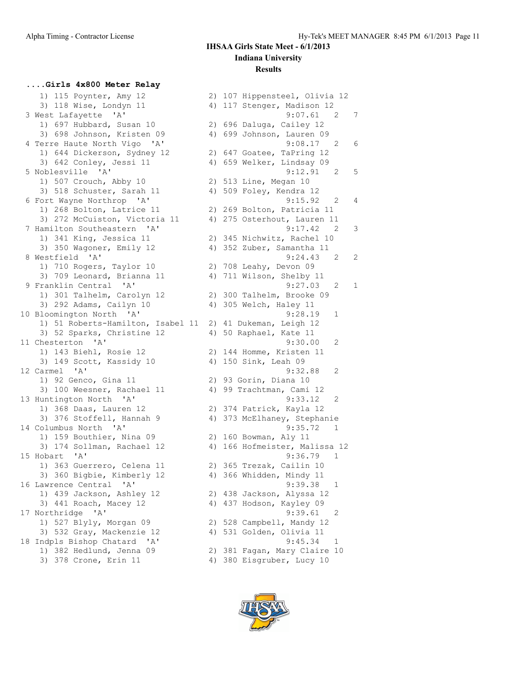#### **....Girls 4x800 Meter Relay**

 1) 115 Poynter, Amy 12 2) 107 Hippensteel, Olivia 12 3) 118 Wise, Londyn 11 4) 117 Stenger, Madison 12 1) 697 Hubbard, Susan 10 2) 696 Daluga, Cailey 12 3) 698 Johnson, Kristen 09 4) 699 Johnson, Lauren 09 1) 644 Dickerson, Sydney 12 2) 647 Goatee, TaPring 12 3) 642 Conley, Jessi 11 4) 659 Welker, Lindsay 09 1) 507 Crouch, Abby 10 2) 513 Line, Megan 10 3) 518 Schuster, Sarah 11 4) 509 Foley, Kendra 12 1) 268 Bolton, Latrice 11 2) 269 Bolton, Patricia 11 3) 272 McCuiston, Victoria 11 4) 275 Osterhout, Lauren 11 1) 341 King, Jessica 11 2) 345 Nichwitz, Rachel 10 3) 350 Wagoner, Emily 12 4) 352 Zuber, Samantha 11 1) 710 Rogers, Taylor 10 2) 708 Leahy, Devon 09 3) 709 Leonard, Brianna 11 4) 711 Wilson, Shelby 11 1) 301 Talhelm, Carolyn 12 2) 300 Talhelm, Brooke 09 3) 292 Adams, Cailyn 10 4) 305 Welch, Haley 11 10 Bloomington North 'A' 9:28.19 1 1) 51 Roberts-Hamilton, Isabel 11 2) 41 Dukeman, Leigh 12 3) 52 Sparks, Christine 12 4) 50 Raphael, Kate 11 11 Chesterton 'A' 9:30.00 2 1) 143 Biehl, Rosie 12 2) 144 Homme, Kristen 11 3) 149 Scott, Kassidy 10 4) 150 Sink, Leah 09 12 Carmel 'A' 9:32.88 2 1) 92 Genco, Gina 11 2) 93 Gorin, Diana 10 3) 100 Weesner, Rachael 11 4) 99 Trachtman, Cami 12 13 Huntington North 'A' 9:33.12 2 1) 368 Daas, Lauren 12 2) 374 Patrick, Kayla 12 3) 376 Stoffell, Hannah 9 4) 373 McElhaney, Stephanie 14 Columbus North 'A' 9:35.72 1 1) 159 Bouthier, Nina 09 2) 160 Bowman, Aly 11 3) 174 Sollman, Rachael 12 4) 166 Hofmeister, Malissa 12 15 Hobart 'A' 9:36.79 1 1) 363 Guerrero, Celena 11 2) 365 Trezak, Cailin 10 3) 360 Bigbie, Kimberly 12 4) 366 Whidden, Mindy 11 16 Lawrence Central 'A' 9:39.38 1 1) 439 Jackson, Ashley 12 2) 438 Jackson, Alyssa 12 3) 441 Roach, Macey 12 4) 437 Hodson, Kayley 09 17 Northridge 'A' 9:39.61 2 1) 527 Blyly, Morgan 09 2) 528 Campbell, Mandy 12 3) 532 Gray, Mackenzie 12 4) 531 Golden, Olivia 11 18 Indpls Bishop Chatard 'A' 9:45.34 1 1) 382 Hedlund, Jenna 09 2) 381 Fagan, Mary Claire 10

 3 West Lafayette 'A' 9:07.61 2 7 4 Terre Haute North Vigo 'A' 9:08.17 2 6 5 Noblesville 'A' 9:12.91 2 5 6 Fort Wayne Northrop 'A' 9:15.92 2 4 7 Hamilton Southeastern 'A' 9:17.42 2 3 8 Westfield 'A' 9:24.43 2 2 9 Franklin Central 'A' 9:27.03 2 1 3) 378 Crone, Erin 11 4) 380 Eisgruber, Lucy 10

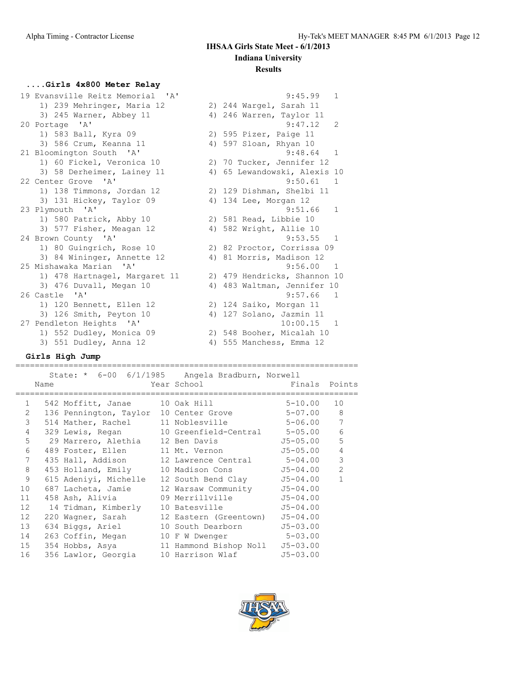## **....Girls 4x800 Meter Relay**

| 19 Evansville Reitz Memorial 'A' | $\mathbf{1}$<br>9:45.99         |
|----------------------------------|---------------------------------|
| 1) 239 Mehringer, Maria 12       | 2) 244 Wargel, Sarah 11         |
| 3) 245 Warner, Abbey 11          | 4) 246 Warren, Taylor 11        |
| 20 Portage 'A'                   | 9:47.12<br>2                    |
| 1) 583 Ball, Kyra 09             | 2) 595 Pizer, Paige 11          |
| 3) 586 Crum, Keanna 11           | 4) 597 Sloan, Rhyan 10          |
| 21 Bloomington South 'A'         | $\mathbf{1}$<br>9:48.64         |
| 1) 60 Fickel, Veronica 10        | 2) 70 Tucker, Jennifer 12       |
| 3) 58 Derheimer, Lainey 11       | 65 Lewandowski, Alexis 10<br>4) |
| 22 Center Grove 'A'              | 9:50.61<br>$\mathbf{1}$         |
| 1) 138 Timmons, Jordan 12        | 2) 129 Dishman, Shelbi 11       |
| 3) 131 Hickey, Taylor 09         | 4) 134 Lee, Morgan 12           |
| 23 Plymouth 'A'                  | 9:51.66<br>1                    |
| 1) 580 Patrick, Abby 10          | 2) 581 Read, Libbie 10          |
| 3) 577 Fisher, Meagan 12         | 4) 582 Wright, Allie 10         |
| 24 Brown County 'A'              | $9:53.55$ 1                     |
| 1) 80 Guingrich, Rose 10         | 2) 82 Proctor, Corrissa 09      |
| 3) 84 Wininger, Annette 12       | 4) 81 Morris, Madison 12        |
| 25 Mishawaka Marian 'A'          | 9:56.00<br>$\mathbf{1}$         |
| 1) 478 Hartnagel, Margaret 11    | 2) 479 Hendricks, Shannon 10    |
| 3) 476 Duvall, Megan 10          | 4) 483 Waltman, Jennifer 10     |
| 26 Castle 'A'                    | 9:57.66<br>1                    |
| 1) 120 Bennett, Ellen 12         | 2) 124 Saiko, Morgan 11         |
| 3) 126 Smith, Peyton 10          | 4) 127 Solano, Jazmin 11        |
| 27 Pendleton Heights 'A'         | 10:00.15<br>1                   |
| 1) 552 Dudley, Monica 09         | 2) 548 Booher, Micalah 10       |
| 3) 551 Dudley, Anna 12           | 4) 555 Manchess, Emma 12        |

#### **Girls High Jump**

=======================================================================

|                 | Name        | State: * 6-00 6/1/1985 Angela Bradburn, Norwell   | Year School and the School | Finals Points |                |
|-----------------|-------------|---------------------------------------------------|----------------------------|---------------|----------------|
|                 |             | 1 542 Moffitt, Janae 10 Oak Hill 5-10.00          |                            |               | 10             |
|                 | $2^{\circ}$ | 136 Pennington, Taylor 10 Center Grove 5-07.00    |                            |               | 8              |
| 3               |             | 514 Mather, Rachel 11 Noblesville 5-06.00 7       |                            |               |                |
| $\overline{4}$  |             | 329 Lewis, Regan 10 Greenfield-Central 5-05.00    |                            |               | 6              |
| 5               |             | 29 Marrero, Alethia    12 Ben Davis               |                            | J5-05.00      | 5              |
| 6               |             | 489 Foster, Ellen 11 Mt. Vernon 55-05.00          |                            |               | $\overline{4}$ |
| $7\overline{ }$ |             | 435 Hall, Addison 12 Lawrence Central 5-04.00     |                            |               | 3              |
| 8               |             | 453 Holland, Emily 10 Madison Cons 55-04.00       |                            |               | $\overline{2}$ |
| 9               |             | 615 Adeniyi, Michelle 12 South Bend Clay 55-04.00 |                            |               | $\mathbf{1}$   |
| 10              |             | 687 Lacheta, Jamie 12 Warsaw Community 5-04.00    |                            |               |                |
| 11              |             | 458 Ash, Alivia 		 09 Merrillville 		 J5-04.00    |                            |               |                |
| 12              |             | 14 Tidman, Kimberly 10 Batesville                 |                            | $J5 - 04.00$  |                |
| 12 <sup>°</sup> |             | 220 Wagner, Sarah 12 Eastern (Greentown)          |                            | $J5 - 04.00$  |                |
| 13              |             | 634 Biggs, Ariel 10 South Dearborn 5-03.00        |                            |               |                |
| 14              |             | 263 Coffin, Megan 10 F W Dwenger 5-03.00          |                            |               |                |
| 15              |             | 354 Hobbs, Asya 11 Hammond Bishop Noll J5-03.00   |                            |               |                |
| 16              |             | 356 Lawlor, Georgia 10 Harrison Wlaf              |                            | $J5 - 03.00$  |                |

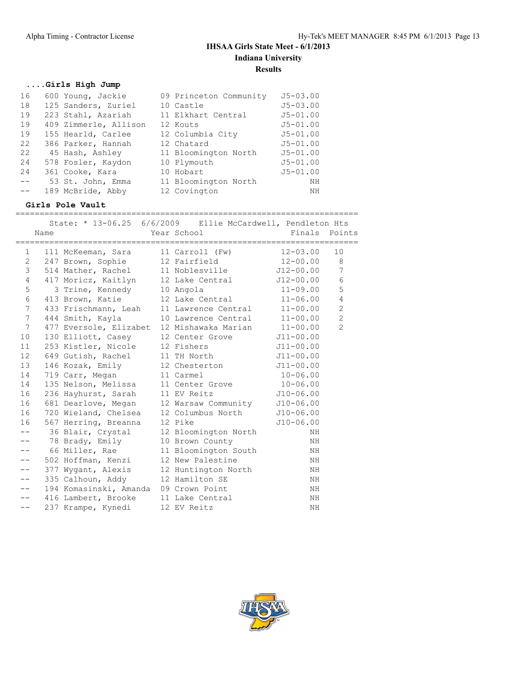## **....Girls High Jump**

| 16    | 600 Young, Jackie     | 09 Princeton Community | $J5 - 03.00$ |
|-------|-----------------------|------------------------|--------------|
| 18    | 125 Sanders, Zuriel   | 10 Castle              | $J5 - 03.00$ |
| 19    | 223 Stahl, Azariah    | 11 Elkhart Central     | $J5 - 01.00$ |
| 19    | 409 Zimmerle, Allison | 12 Kouts               | $J5 - 01.00$ |
| 19    | 155 Hearld, Carlee    | 12 Columbia City       | $J5 - 01.00$ |
| 22    | 386 Parker, Hannah    | 12 Chatard             | $J5 - 01.00$ |
| 22    | 45 Hash, Ashley       | 11 Bloomington North   | $J5 - 01.00$ |
| 24    | 578 Fosler, Kaydon    | 10 Plymouth            | $J5 - 01.00$ |
| 24    | 361 Cooke, Kara       | 10 Hobart              | $J5 - 01.00$ |
| $- -$ | 53 St. John, Emma     | 11 Bloomington North   | ΝH           |
|       | 189 McBride, Abby     | 12 Covington           | NΗ           |

### **Girls Pole Vault**

======================================================================= State:  $\star$  13-06.25, 6/6/2009 Filie McCardwell, Pendleton Ht

|                 | Name      |                                                     | Year School and the School | Finals        | Points          |
|-----------------|-----------|-----------------------------------------------------|----------------------------|---------------|-----------------|
|                 |           |                                                     |                            |               |                 |
|                 | $1 \quad$ | 111 McKeeman, Sara $11$ Carroll (Fw) $12-03.00$     |                            |               | 10              |
|                 |           | 2 247 Brown, Sophie 12 Fairfield 12-00.00           |                            |               | 8               |
| 3               |           | 514 Mather, Rachel 11 Noblesville 512-00.00         |                            |               | $7\phantom{.0}$ |
| $\overline{4}$  |           | 417 Moricz, Kaitlyn 12 Lake Central J12-00.00       |                            |               | 6               |
| 5               |           | 3 Trine, Kennedy 10 Angola                          |                            | $11 - 09.00$  | 5               |
| 6               |           | 413 Brown, Katie                                    | 12 Lake Central 11-06.00   |               | $\overline{4}$  |
| 7 <sup>7</sup>  |           | 433 Frischmann, Leah 11 Lawrence Central 11-00.00   |                            |               | $\overline{c}$  |
| $7\phantom{.0}$ |           | 444 Smith, Kayla 10 Lawrence Central 11-00.00       |                            |               | $\mathbf{2}$    |
| $7\phantom{.0}$ |           | 477 Eversole, Elizabet 12 Mishawaka Marian 11-00.00 |                            |               | $\overline{2}$  |
| 10              |           | 130 Elliott, Casey 12 Center Grove 511-00.00        |                            |               |                 |
| 11              |           | 253 Kistler, Nicole 12 Fishers                      |                            | $J11 - 00.00$ |                 |
| 12              |           | 649 Gutish, Rachel 11 TH North 511-00.00            |                            |               |                 |
| 13              |           | 146 Kozak, Emily 12 Chesterton J11-00.00            |                            |               |                 |
| 14              |           | 719 Carr, Megan 11 Carmel                           |                            | $10 - 06.00$  |                 |
| 14              |           | 135 Nelson, Melissa 11 Center Grove 10-06.00        |                            |               |                 |
| 16              |           | 236 Hayhurst, Sarah 11 EV Reitz 510-06.00           |                            |               |                 |
| 16              |           | 681 Dearlove, Megan 12 Warsaw Community J10-06.00   |                            |               |                 |
| 16              |           | 720 Wieland, Chelsea 12 Columbus North J10-06.00    |                            |               |                 |
| 16              |           | 567 Herring, Breanna 12 Pike                        |                            | $J10-06.00$   |                 |
| $- -$           |           | 36 Blair, Crystal                                   | 12 Bloomington North       | ΝH            |                 |
| $- -$           |           | 78 Brady, Emily                                     | 10 Brown County            | ΝH            |                 |
| $- -$           |           | 66 Miller, Rae                                      | 11 Bloomington South       | NH            |                 |
| $- -$           |           | 502 Hoffman, Kenzi                                  | 12 New Palestine           | ΝH            |                 |
| $- -$           |           | 377 Wygant, Alexis                                  | 12 Huntington North        | ΝH            |                 |
| $- -$           |           | 335 Calhoun, Addy 12 Hamilton SE                    |                            | ΝH            |                 |
| $- -$           |           | 194 Komasinski, Amanda 09 Crown Point               |                            | ΝH            |                 |
|                 |           | 416 Lambert, Brooke 11 Lake Central                 |                            | NH            |                 |
| $- -$           |           | 237 Krampe, Kynedi                                  | 12 EV Reitz                | NH            |                 |

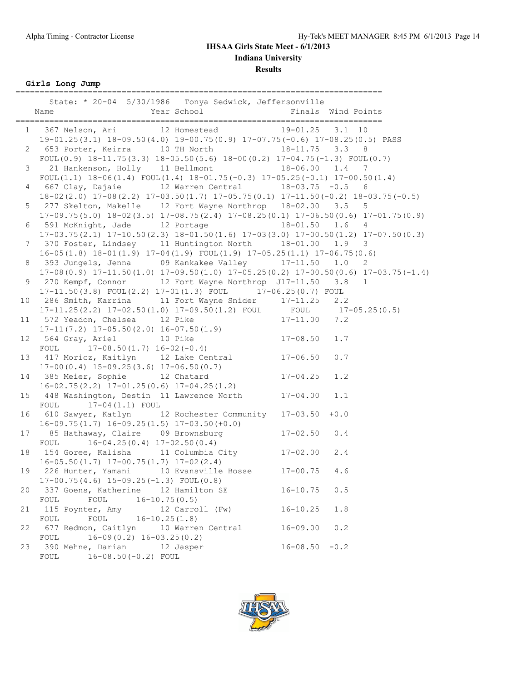# **Results**

**Girls Long Jump**

|                 | ____________________________<br>State: * 20-04 5/30/1986 Tonya Sedwick, Jeffersonville                                                                                                               |                    | -------------------------------- |
|-----------------|------------------------------------------------------------------------------------------------------------------------------------------------------------------------------------------------------|--------------------|----------------------------------|
|                 | 1 367 Nelson, Ari 12 Homestead 19-01.25 3.1 10                                                                                                                                                       |                    |                                  |
|                 | 19-01.25(3.1) 18-09.50(4.0) 19-00.75(0.9) 17-07.75(-0.6) 17-08.25(0.5) PASS                                                                                                                          |                    |                                  |
| $\mathbf{2}$    | 653 Porter, Keirra 10 TH North 18-11.75 3.3 8                                                                                                                                                        |                    |                                  |
|                 | $FOUL(0.9)$ 18-11.75(3.3) 18-05.50(5.6) 18-00(0.2) 17-04.75(-1.3) $FOUL(0.7)$                                                                                                                        |                    |                                  |
| 3               | 21 Hankenson, Holly 11 Bellmont 18-06.00 1.4 7                                                                                                                                                       |                    |                                  |
|                 | $F0UL(1.1)$ 18-06(1.4) $F0UL(1.4)$ 18-01.75(-0.3) 17-05.25(-0.1) 17-00.50(1.4)                                                                                                                       |                    |                                  |
| 4               | 667 Clay, Dajaie 12 Warren Central 18-03.75 -0.5 6                                                                                                                                                   |                    |                                  |
|                 | $18-02(2.0)$ $17-08(2.2)$ $17-03.50(1.7)$ $17-05.75(0.1)$ $17-11.50(-0.2)$ $18-03.75(-0.5)$                                                                                                          |                    |                                  |
| 5               | 277 Skelton, Makelle 12 Fort Wayne Northrop 18-02.00 3.5                                                                                                                                             |                    | 5                                |
|                 | $17-09.75(5.0)$ $18-02(3.5)$ $17-08.75(2.4)$ $17-08.25(0.1)$ $17-06.50(0.6)$ $17-01.75(0.9)$                                                                                                         |                    |                                  |
| 6               | 591 McKnight, Jade 12 Portage 18-01.50 1.6 4                                                                                                                                                         |                    |                                  |
|                 | $17-03.75(2.1)$ $17-10.50(2.3)$ $18-01.50(1.6)$ $17-03(3.0)$ $17-00.50(1.2)$ $17-07.50(0.3)$                                                                                                         |                    |                                  |
| $7\phantom{.}$  | 370 Foster, Lindsey 11 Huntington North 18-01.00 1.9 3                                                                                                                                               |                    |                                  |
|                 | $16-05(1.8)$ $18-01(1.9)$ $17-04(1.9)$ $FOUT(1.9)$ $17-05.25(1.1)$ $17-06.75(0.6)$                                                                                                                   |                    |                                  |
| 8               | 393 Jungels, Jenna 09 Kankakee Valley 17-11.50 1.0 2                                                                                                                                                 |                    |                                  |
|                 | $17-08(0.9)$ $17-11.50(1.0)$ $17-09.50(1.0)$ $17-05.25(0.2)$ $17-00.50(0.6)$ $17-03.75(-1.4)$                                                                                                        |                    |                                  |
| 9               | 270 Kempf, Connor 12 Fort Wayne Northrop J17-11.50 3.8 1                                                                                                                                             |                    |                                  |
|                 | 17-11.50(3.8) FOUL(2.2) 17-01(1.3) FOUL 17-06.25(0.7) FOUL                                                                                                                                           |                    |                                  |
| 10              |                                                                                                                                                                                                      |                    |                                  |
|                 |                                                                                                                                                                                                      |                    |                                  |
| 11              | 286 Smith, Karrina 11 Fort Wayne Snider 17-11.25 2.2<br>17-11.25(2.2) 17-02.50(1.0) 17-09.50(1.2) FOUL FOUL 17-05.25(0.5)<br>572 Yeadon, Chelsea 12 Pike 17-11.00 7.2<br>572 Yeadon, Chelsea 12 Pike |                    |                                  |
|                 | $17-11(7.2)$ $17-05.50(2.0)$ $16-07.50(1.9)$                                                                                                                                                         |                    |                                  |
| 12 <sup>°</sup> | $17 - 08.50$<br>564 Gray, Ariel 10 Pike                                                                                                                                                              |                    | 1.7                              |
|                 | FOUL $17-08.50(1.7) 16-02(-0.4)$                                                                                                                                                                     |                    |                                  |
| 13              | $417$ Moricz, Kaitlyn $12$ Lake Central $17-06.50$                                                                                                                                                   |                    | 0.7                              |
|                 | $17-00(0.4)$ $15-09.25(3.6)$ $17-06.50(0.7)$                                                                                                                                                         |                    |                                  |
| 14              | 385 Meier, Sophie 12 Chatard                                                                                                                                                                         | $17 - 04.25$       | 1.2                              |
|                 | $16-02.75(2.2)$ $17-01.25(0.6)$ $17-04.25(1.2)$                                                                                                                                                      |                    |                                  |
| 15 <sub>1</sub> | 448 Washington, Destin 11 Lawrence North 17-04.00                                                                                                                                                    |                    | 1.1                              |
|                 | FOUL $17-04(1.1)$ FOUL                                                                                                                                                                               |                    |                                  |
| 16              | 610 Sawyer, Katlyn 12 Rochester Community                                                                                                                                                            | $17 - 03.50 + 0.0$ |                                  |
|                 | $16-09.75(1.7)$ $16-09.25(1.5)$ $17-03.50(+0.0)$                                                                                                                                                     |                    |                                  |
| 17              | 85 Hathaway, Claire 09 Brownsburg                                                                                                                                                                    | $17 - 02.50$ 0.4   |                                  |
|                 | $16-04.25(0.4)$ $17-02.50(0.4)$<br>FOUL                                                                                                                                                              |                    |                                  |
| 18              | 154 Goree, Kalisha 11 Columbia City 17-02.00                                                                                                                                                         |                    | 2.4                              |
|                 | $16-05.50(1.7)$ $17-00.75(1.7)$ $17-02(2.4)$                                                                                                                                                         |                    |                                  |
| 19              | 226 Hunter, Yamani 10 Evansville Bosse 17-00.75                                                                                                                                                      |                    | 4.6                              |
|                 | $17-00.75(4.6)$ $15-09.25(-1.3)$ FOUL $(0.8)$                                                                                                                                                        |                    |                                  |
| 20              | 337 Goens, Katherine 12 Hamilton SE                                                                                                                                                                  | $16 - 10.75$       | 0.5                              |
|                 | FOUL<br>$16 - 10.75(0.5)$<br>FOUL                                                                                                                                                                    |                    |                                  |
| 21              | 115 Poynter, Amy<br>12 Carroll (Fw)                                                                                                                                                                  | $16 - 10.25$       | 1.8                              |
|                 | FOUL<br>$16 - 10.25(1.8)$<br>FOUL                                                                                                                                                                    |                    |                                  |
| 22              | 677 Redmon, Caitlyn<br>10 Warren Central                                                                                                                                                             | $16 - 09.00$       | 0.2                              |
|                 | $16-09(0.2)$ $16-03.25(0.2)$<br>FOUL                                                                                                                                                                 |                    |                                  |
| 23              | 390 Mehne, Darian<br>12 Jasper                                                                                                                                                                       | $16 - 08.50 - 0.2$ |                                  |
|                 | $16 - 08.50 (-0.2)$ FOUL<br>FOUL                                                                                                                                                                     |                    |                                  |

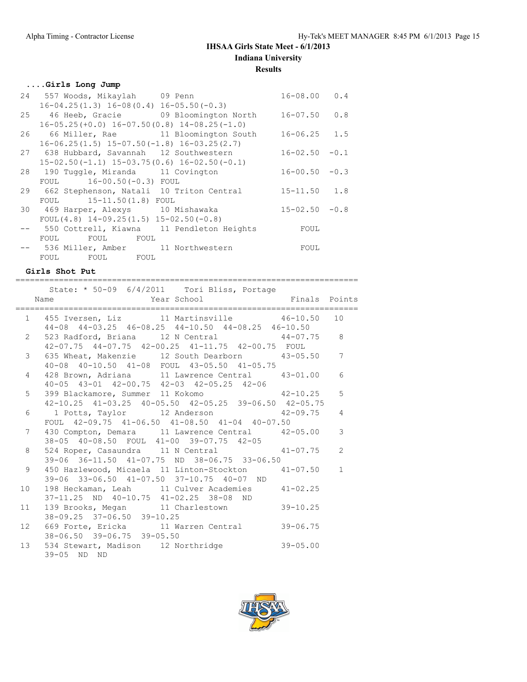## **....Girls Long Jump**

|    | 24 557 Woods, Mikaylah 09 Penn                    | $16 - 08.00$       | 0.4    |
|----|---------------------------------------------------|--------------------|--------|
|    | $16-04.25(1.3)$ $16-08(0.4)$ $16-05.50(-0.3)$     |                    |        |
|    | 25 46 Heeb, Gracie 09 Bloomington North           | $16 - 07.50$       | 0.8    |
|    | $16-05.25(+0.0)$ $16-07.50(0.8)$ $14-08.25(-1.0)$ |                    |        |
| 26 | 66 Miller, Rae 11 Bloomington South               | $16 - 06.25$ 1.5   |        |
|    | $16-06.25(1.5)$ $15-07.50(-1.8)$ $16-03.25(2.7)$  |                    |        |
|    | 27 638 Hubbard, Savannah 12 Southwestern          | 16-02.50           | $-0.1$ |
|    | $15-02.50(-1.1)$ $15-03.75(0.6)$ $16-02.50(-0.1)$ |                    |        |
|    | 28 190 Tuggle, Miranda 11 Covington               | $16 - 00.50 - 0.3$ |        |
|    | FOUL 16-00.50(-0.3) FOUL                          |                    |        |
|    | 29 662 Stephenson, Natali 10 Triton Central       | $15 - 11.50$ 1.8   |        |
|    | FOUL 15-11.50(1.8) FOUL                           |                    |        |
|    | 30 469 Harper, Alexys 10 Mishawaka                | $15 - 02.50 - 0.8$ |        |
|    | FOUL $(4.8)$ 14-09.25 $(1.5)$ 15-02.50 $(-0.8)$   |                    |        |
|    | -- 550 Cottrell, Kiawna 11 Pendleton Heights      | FOUL               |        |
|    | FOUL<br>FOUL FOUL                                 |                    |        |
|    | -- 536 Miller, Amber 11 Northwestern              | FOUL               |        |
|    | FOUL FOUL FOUL                                    |                    |        |

### **Girls Shot Put**

|    | ==========                                                                                                               |              |                |
|----|--------------------------------------------------------------------------------------------------------------------------|--------------|----------------|
|    | State: * 50-09 6/4/2011 Tori Bliss, Portage<br>Name                                                                      |              |                |
|    | 1 455 Iversen, Liz 11 Martinsville 46-10.50 10<br>44-08 44-03.25 46-08.25 44-10.50 44-08.25 46-10.50                     |              |                |
|    | 2 523 Radford, Briana 12 N Central 44-07.75 8<br>42-07.75 44-07.75 42-00.25 41-11.75 42-00.75 FOUL                       |              |                |
|    | 635 Wheat, Makenzie 12 South Dearborn 43-05.50 7<br>3 <sup>7</sup><br>40-08 40-10.50 41-08 FOUL 43-05.50 41-05.75        |              |                |
|    | 428 Brown, Adriana 11 Lawrence Central 43-01.00 6<br>$4\phantom{0}$<br>40-05 43-01 42-00.75 42-03 42-05.25 42-06         |              |                |
|    | 399 Blackamore, Summer 11 Kokomo (42-10.25 5)<br>5 <sub>5</sub><br>42-10.25 41-03.25 40-05.50 42-05.25 39-06.50 42-05.75 |              |                |
|    | 6<br>1 Potts, Taylor 12 Anderson 12 42-09.75 4<br>FOUL 42-09.75 41-06.50 41-08.50 41-04 40-07.50                         |              |                |
|    | 430 Compton, Demara 11 Lawrence Central 42-05.00<br>$7^{\circ}$<br>38-05 40-08.50 FOUL 41-00 39-07.75 42-05              |              | $\mathcal{S}$  |
|    | 524 Roper, Casaundra 11 N Central 41-07.75<br>8<br>39-06 36-11.50 41-07.75 ND 38-06.75 33-06.50                          |              | $\overline{2}$ |
|    | 9<br>450 Hazlewood, Micaela 11 Linton-Stockton 41-07.50 1<br>39-06 33-06.50 41-07.50 37-10.75 40-07 ND                   |              |                |
| 10 | 198 Heckaman, Leah 11 Culver Academies 41-02.25<br>37-11.25 ND 40-10.75 41-02.25 38-08 ND                                |              |                |
|    | 11 139 Brooks, Megan 11 Charlestown 39-10.25<br>38-09.25 37-06.50 39-10.25                                               |              |                |
|    | 12 669 Forte, Ericka 11 Warren Central<br>38-06.50 39-06.75 39-05.50                                                     | $39 - 06.75$ |                |
|    | 13 534 Stewart, Madison 12 Northridge 39-05.00<br>39-05 ND ND                                                            |              |                |

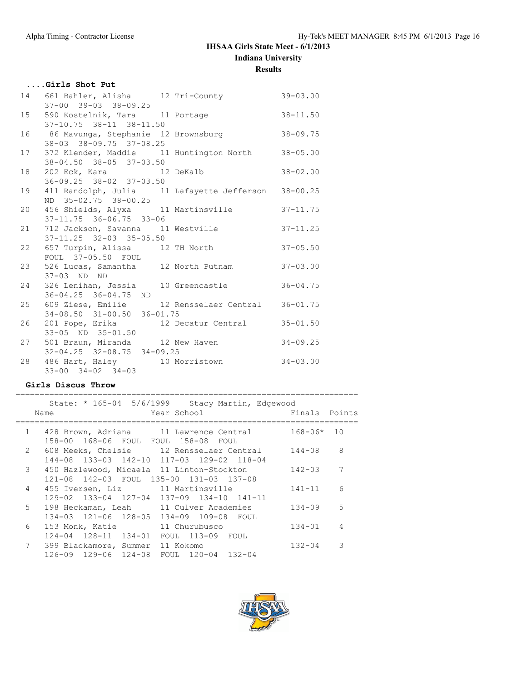# **....Girls Shot Put**

| 14 661 Bahler, Alisha 12 Tri-County 39-03.00<br>$37-00$ $39-03$ $38-09.25$              |  |              |
|-----------------------------------------------------------------------------------------|--|--------------|
| 15 590 Kostelnik, Tara 11 Portage<br>$37-10.75$ $38-11$ $38-11.50$                      |  | $38 - 11.50$ |
| 16 86 Mavunga, Stephanie 12 Brownsburg 38-09.75<br>38-03 38-09.75 37-08.25              |  |              |
| 17 372 Klender, Maddie 11 Huntington North<br>38-04.50 38-05 37-03.50                   |  | $38 - 05.00$ |
| 18 202 Eck, Kara 12 DeKalb<br>$36 - 09.25$ $38 - 02$ $37 - 03.50$                       |  | $38 - 02.00$ |
| 19 411 Randolph, Julia 11 Lafayette Jefferson 38-00.25<br>ND 35-02.75 38-00.25          |  |              |
| 20 456 Shields, Alyxa 11 Martinsville<br>$37 - 11.75$ $36 - 06.75$ $33 - 06$            |  | $37 - 11.75$ |
| 21 712 Jackson, Savanna 11 Westville<br>$37-11.25$ $32-03$ $35-05.50$                   |  | $37 - 11.25$ |
| 22 657 Turpin, Alissa 12 TH North<br>FOUL 37-05.50 FOUL                                 |  | $37 - 05.50$ |
| 23 526 Lucas, Samantha 12 North Putnam<br>37-03 ND ND                                   |  | $37 - 03.00$ |
| 24 326 Lenihan, Jessia 10 Greencastle<br>$36 - 04.25$ $36 - 04.75$ ND                   |  | $36 - 04.75$ |
| 25 609 Ziese, Emilie 12 Rensselaer Central 36-01.75<br>$34-08.50$ $31-00.50$ $36-01.75$ |  |              |
| 26 201 Pope, Erika 12 Decatur Central<br>33-05 ND 35-01.50                              |  | $35 - 01.50$ |
| 27 501 Braun, Miranda 12 New Haven<br>$32 - 04.25$ $32 - 08.75$ $34 - 09.25$            |  | $34 - 09.25$ |
| 28 486 Hart, Haley 10 Morristown 34-03.00<br>$33 - 00$ $34 - 02$ $34 - 03$              |  |              |

### **Girls Discus Throw**

|               | State: * 165-04 5/6/1999 Stacy Martin, Edgewood<br>Year School<br>Name                                                            | Finals Points |                |
|---------------|-----------------------------------------------------------------------------------------------------------------------------------|---------------|----------------|
| 1             | 428 Brown, Adriana 11 Lawrence Central<br>158-00 168-06 FOUL FOUL 158-08 FOUL                                                     | 168-06*       | 10             |
| $\mathcal{L}$ | 608 Meeks, Chelsie 12 Rensselaer Central                                                                                          | $144 - 08$    | 8              |
| 3             | 144-08 133-03 142-10 117-03 129-02 118-04<br>450 Hazlewood, Micaela 11 Linton-Stockton<br>121-08 142-03 FOUL 135-00 131-03 137-08 | $142 - 03$    | 7              |
| 4             | 455 Iversen, Liz 11 Martinsville<br>$129-02$ $133-04$ $127-04$ $137-09$ $134-10$ $141-11$                                         | $141 - 11$    | 6              |
| 5             | 198 Heckaman, Leah 11 Culver Academies<br>134-03 121-06 128-05 134-09 109-08 FOUL                                                 | $134 - 09$    | .5             |
| 6             | 153 Monk, Katie<br>11 Churubusco<br>124-04 128-11 134-01                                                                          | $134 - 01$    | $\overline{4}$ |
| 7             | FOUL 113-09 FOUL<br>399 Blackamore, Summer<br>11 Kokomo<br>126-09 129-06 124-08<br>FOUL 120-04 132-04                             | $132 - 04$    | 3              |
|               |                                                                                                                                   |               |                |

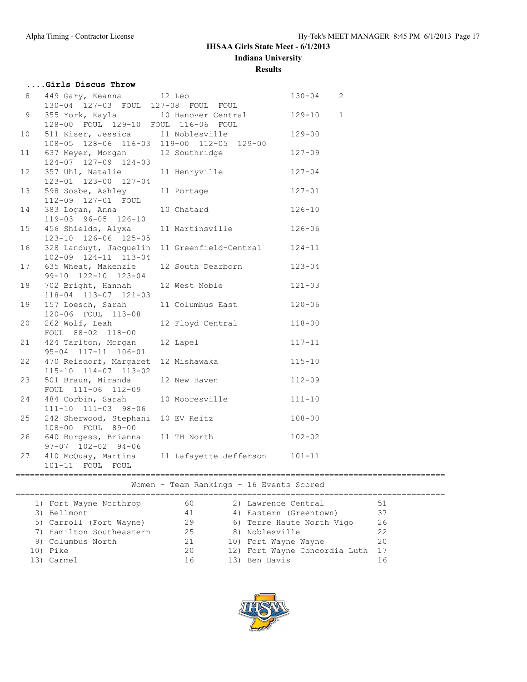### **....Girls Discus Throw** 8 449 Gary, Keanna 12 Leo 130-04 2 130-04 127-03 FOUL 127-08 FOUL FOUL 9 355 York, Kayla 10 Hanover Central 129-10 1 128-00 FOUL 129-10 FOUL 116-06 FOUL 10 511 Kiser, Jessica 11 Noblesville 129-00 108-05 128-06 116-03 119-00 112-05 129-00 11 637 Meyer, Morgan 12 Southridge 127-09 124-07 127-09 124-03 12 357 Uhl, Natalie 11 Henryville 127-04 123-01 123-00 127-04 13 598 Sosbe, Ashley 11 Portage 127-01 112-09 127-01 FOUL 14 383 Logan, Anna 10 Chatard 126-10 119-03 96-05 126-10 15 456 Shields, Alyxa 11 Martinsville 126-06 123-10 126-06 125-05 16 328 Landuyt, Jacquelin 11 Greenfield-Central 124-11 102-09 124-11 113-04 17 635 Wheat, Makenzie 12 South Dearborn 123-04 99-10 122-10 123-04 18 702 Bright, Hannah 12 West Noble 121-03 118-04 113-07 121-03 19 157 Loesch, Sarah 11 Columbus East 120-06 120-06 FOUL 113-08 20 262 Wolf, Leah 12 Floyd Central 118-00 FOUL 88-02 118-00 21 424 Tarlton, Morgan 12 Lapel 117-11 95-04 117-11 106-01 22 470 Reisdorf, Margaret 12 Mishawaka 115-10 115-10 114-07 113-02 23 501 Braun, Miranda 12 New Haven 112-09 FOUL 111-06 112-09 24 484 Corbin, Sarah 10 Mooresville 111-10 111-10 111-03 98-06 25 242 Sherwood, Stephani 10 EV Reitz 108-00 108-00 FOUL 89-00 26 640 Burgess, Brianna 11 TH North 102-02 97-07 102-02 94-06 27 410 McQuay, Martina 11 Lafayette Jefferson 101-11 101-11 FOUL FOUL

#### ========================================================================================= Women - Team Rankings - 16 Events Scored

| 1) Fort Wayne Northrop   | 60 | 2) Lawrence Central              | 51 |
|--------------------------|----|----------------------------------|----|
| 3) Bellmont              | 41 | 4) Eastern (Greentown)           | 37 |
| 5) Carroll (Fort Wayne)  | 29 | 6) Terre Haute North Vigo        | 26 |
| 7) Hamilton Southeastern | 25 | 8) Noblesville                   | 22 |
| 9) Columbus North        | 21 | 10) Fort Wayne Wayne             | 20 |
| 10) Pike                 | 20 | 12) Fort Wayne Concordia Luth 17 |    |
| 13) Carmel               | 16 | 13) Ben Davis                    |    |
|                          |    |                                  |    |